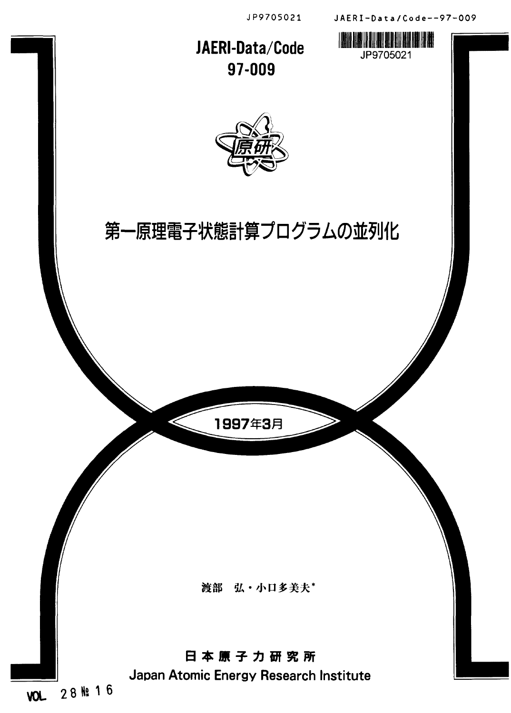

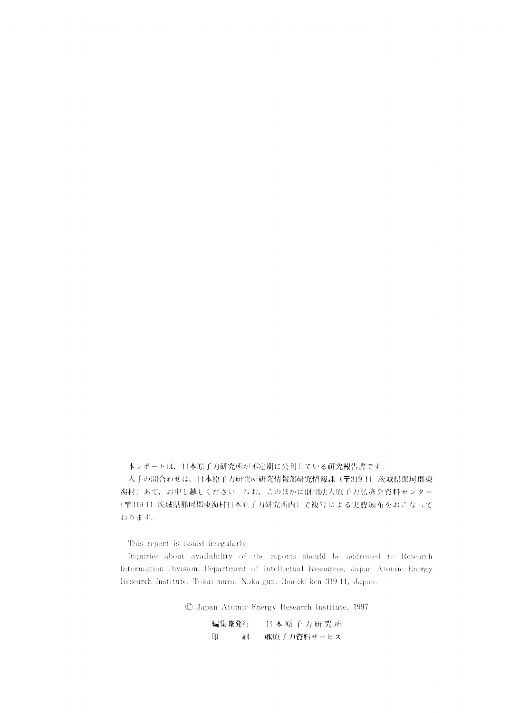本レポートは、日本原子力研究所が不定期に公刊している研究報告書です。

入手の問合わせは、日本原子力研究所研究情報部研究情報課(〒319-11 茨城県那珂郡東 海村)あて、お申し越しください。なお、このほかに財団法人原子力弘済会資料センター (〒319-11 茨城県那珂郡東海村日本原子力研究所内)で複写による実費頒布をおこなって おります。

This report is issued irregularly.

 $\lambda$  inquiries about availability of the reports should be addressed to Research Information Division, Department of Intellectual Resources, Japan Atomic Energy Research Institute, Tokai-mura, Naka-gun, Ibaraki ken 319-11, Japan.

 $O$  Japan Atomic Energy Research Institute, 1997

編集兼発行 日本原子力研究所 印 刷 (料原子力資料サービス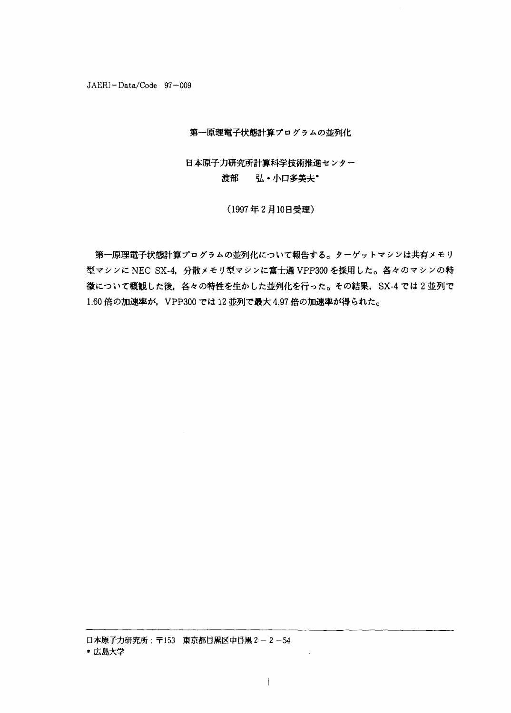$JAERI-Data/Code$  97-009

### 第一原理電子状態計算プログラムの並列化

# 日本原子力研究所計算科学技術推進センター 渡部 弘·小口多美夫\*

(1997年2月10日受理)

第一原理電子状態計算プログラムの並列化について報告する。ターゲットマシンは共有メモリ 型マシンに NEC SX-4, 分散メモリ型マシンに富士通 VPP300 を採用した。各々のマシンの特 徴について概観した後、各々の特性を生かした並列化を行った。その結果, SX-4 では2並列で 1.60 倍の加速率が、VPP300 では 12 並列で最大 4.97 倍の加速率が得られた。

日本原子力研究所: 〒153 東京都目黒区中目黒2-2-54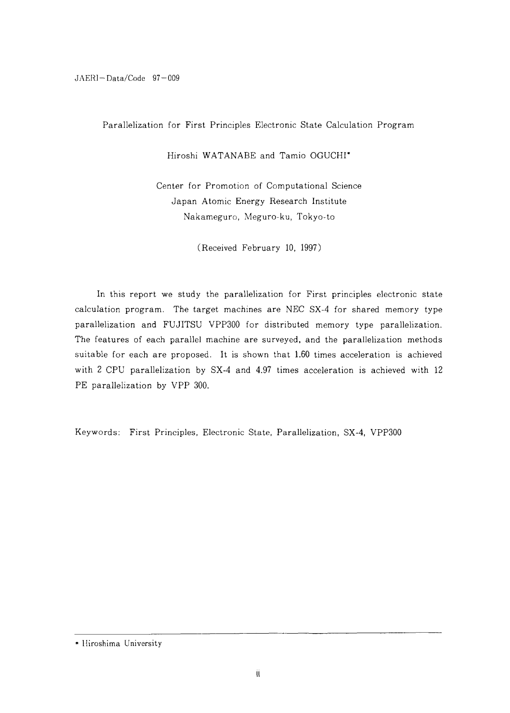JAERI-Data/Code 97-009

Parallelization for First Principles Electronic State Calculation Program

Hiroshi WATANABE and Tamio OGUCHI\*

Center for Promotion of Computational Science Japan Atomic Energy Research Institute Nakameguro, Meguro-ku, Tokyo-to

(Received February 10, 1997)

In this report we study the parallelization for First principles electronic state calculation program. The target machines are NEC SX-4 for shared memory type parallelization and FUJITSU VPP300 for distributed memory type parallelization. The features of each parallel machine are surveyed, and the parallelization methods suitable for each are proposed. It is shown that 1.60 times acceleration is achieved with 2 CPU parallelization by SX-4 and 4.97 times acceleration is achieved with 12 PE parallelization by VPP 300.

Keywords: First Principles, Electronic State, Parallelization, SX-4, VPP300

<sup>\*</sup> Hiroshima University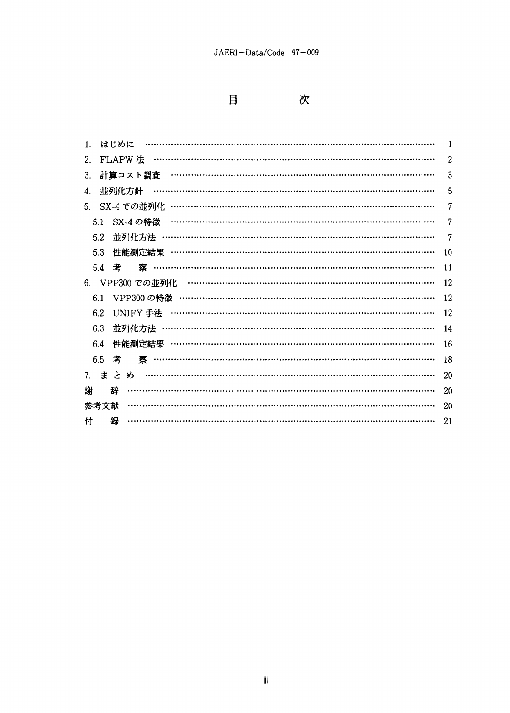$\boxminus$ 

次

| 1. |      | はじめに   |                                         |                                         |                                                                                                                                                                                                                                                                                                                                                                                                                          |  |  |  |  |  |  |  |  |  |    |
|----|------|--------|-----------------------------------------|-----------------------------------------|--------------------------------------------------------------------------------------------------------------------------------------------------------------------------------------------------------------------------------------------------------------------------------------------------------------------------------------------------------------------------------------------------------------------------|--|--|--|--|--|--|--|--|--|----|
| 2. |      |        | FLAPW 法                                 |                                         | $\begin{minipage}{0.9\linewidth} \begin{tabular}{l} \textbf{1} & \textbf{2} & \textbf{3} & \textbf{4} & \textbf{5} & \textbf{6} & \textbf{6} & \textbf{7} & \textbf{8} & \textbf{9} & \textbf{10} & \textbf{10} & \textbf{10} & \textbf{10} & \textbf{10} & \textbf{10} & \textbf{10} & \textbf{10} & \textbf{10} & \textbf{10} & \textbf{10} & \textbf{10} & \textbf{10} & \textbf{10} & \textbf{10} & \textbf{10} & \$ |  |  |  |  |  |  |  |  |  | 2  |
| 3. |      |        | 計算コスト調査 ………………………………………………………………………………  |                                         |                                                                                                                                                                                                                                                                                                                                                                                                                          |  |  |  |  |  |  |  |  |  | 3  |
| 4. |      |        | 並列化方針                                   |                                         |                                                                                                                                                                                                                                                                                                                                                                                                                          |  |  |  |  |  |  |  |  |  | 5  |
|    |      |        |                                         |                                         |                                                                                                                                                                                                                                                                                                                                                                                                                          |  |  |  |  |  |  |  |  |  | 7  |
|    | 5.1  |        | SX-4 の特徴                                |                                         |                                                                                                                                                                                                                                                                                                                                                                                                                          |  |  |  |  |  |  |  |  |  | 7  |
|    | 5.2  |        | 並列化方法 ……………………………………………………………………………………  |                                         |                                                                                                                                                                                                                                                                                                                                                                                                                          |  |  |  |  |  |  |  |  |  | 7  |
|    | 5.3  |        |                                         |                                         |                                                                                                                                                                                                                                                                                                                                                                                                                          |  |  |  |  |  |  |  |  |  | 10 |
|    | 5.4  | 考      |                                         | <u>蔡 ………………………………………………………………………………</u> |                                                                                                                                                                                                                                                                                                                                                                                                                          |  |  |  |  |  |  |  |  |  | 11 |
|    |      |        |                                         |                                         |                                                                                                                                                                                                                                                                                                                                                                                                                          |  |  |  |  |  |  |  |  |  | 12 |
|    | 6.1  |        |                                         |                                         |                                                                                                                                                                                                                                                                                                                                                                                                                          |  |  |  |  |  |  |  |  |  | 12 |
|    | 6.2  |        |                                         |                                         |                                                                                                                                                                                                                                                                                                                                                                                                                          |  |  |  |  |  |  |  |  |  | 12 |
|    | 6.3  |        | 並列化方法 ……………………………………………………………………………………… |                                         |                                                                                                                                                                                                                                                                                                                                                                                                                          |  |  |  |  |  |  |  |  |  | 14 |
|    | 6.4  |        | 性能測定結果 ………………………………………………………………………………   |                                         |                                                                                                                                                                                                                                                                                                                                                                                                                          |  |  |  |  |  |  |  |  |  | 16 |
|    | 6.5  | 考      |                                         |                                         |                                                                                                                                                                                                                                                                                                                                                                                                                          |  |  |  |  |  |  |  |  |  | 18 |
|    |      | 7. まとめ |                                         |                                         |                                                                                                                                                                                                                                                                                                                                                                                                                          |  |  |  |  |  |  |  |  |  | 20 |
| 謝  |      | 枉      |                                         |                                         |                                                                                                                                                                                                                                                                                                                                                                                                                          |  |  |  |  |  |  |  |  |  | 20 |
|    | 参考文献 |        |                                         |                                         |                                                                                                                                                                                                                                                                                                                                                                                                                          |  |  |  |  |  |  |  |  |  | 20 |
| 付  |      | 録      |                                         |                                         |                                                                                                                                                                                                                                                                                                                                                                                                                          |  |  |  |  |  |  |  |  |  | 21 |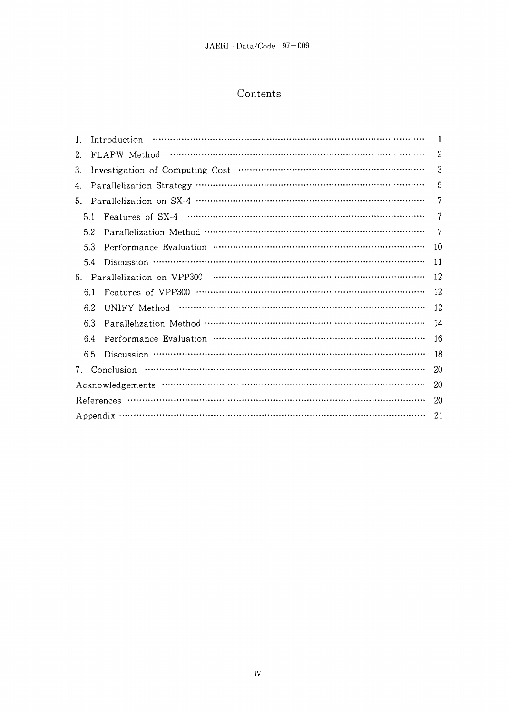# Contents

| 1. |     | Introduction |    |
|----|-----|--------------|----|
| 2. |     | FLAPW Method | 2  |
| 3. |     |              | 3  |
| 4. |     |              | 5  |
| 5. |     |              |    |
|    | 5.1 |              | 7  |
|    | 5.2 |              | 7  |
|    | 5.3 |              | 10 |
|    | 5.4 |              | 11 |
| 6. |     |              | 12 |
|    | 6.1 |              | 12 |
|    | 6.2 |              | 12 |
|    | 6.3 |              | 14 |
|    | 6.4 |              | 16 |
|    | 6.5 |              | 18 |
| 7. |     | Conclusion   | 20 |
|    |     |              | 20 |
|    |     | References   | 20 |
|    |     |              | 21 |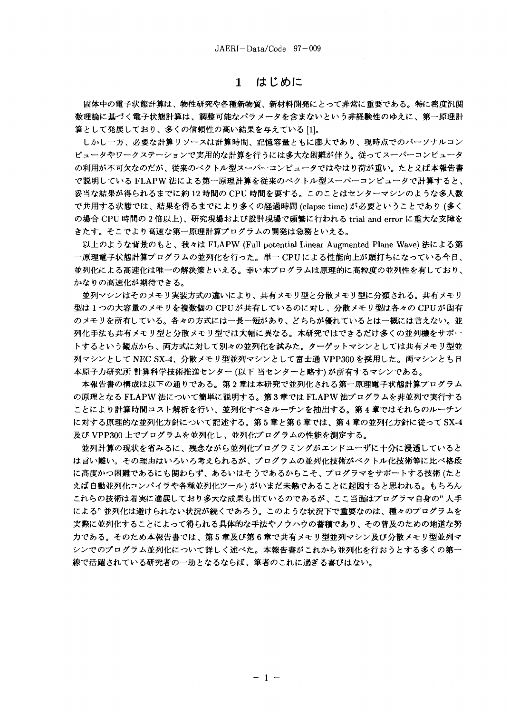### はじめに  $\mathbf{1}$

固体中の電子状態計算は、物性研究や各種新物質、新材料開発にとって非常に重要である。特に密度汎関 数理論に基づく雷子状熊計算は、調整可能なパラメータを含まないという非経験性のゆえに、第一原理計 算として発展しており、多くの信頼性の高い結果を与えている[1]。

しかし一方、必要な計算リソースは計算時間、記憶容量ともに膨大であり、現時点でのパーソナルコン ピュータやワークステーションで実用的な計算を行うには多大な困難が伴う。従ってスーパーコンピュータ の利用が不可欠なのだが、従来のベクトル型スーパーコンピュータではやはり荷が重い。たとえば本報告書 で説明している FLAPW 法による第一原理計算を従来のベクトル型スーパーコンピュータで計算すると、 妥当な結果が得られるまでに約 12 時間の CPU 時間を要する。このことはセンターマシンのような多人数 で共用する状態では、結果を得るまでにより多くの経過時間 (elapse time) が必要ということであり (多く の場合 CPU 時間の2倍以上)、研究現場および設計現場で頻繁に行われる trial and error に重大な支障を きたす。そこでより高速な第一原理計算プログラムの開発は急務といえる。

以上のような背景のもと、我々は FLAPW (Full potential Linear Augmented Plane Wave) 法による第 一原理電子状態計算プログラムの並列化を行った。単一 CPUによる性能向上が頭打ちになっている今日、 並列化による高速化は唯一の解決策といえる。幸い本プログラムは原理的に高粒度の並列性を有しており、 かなりの高速化が期待できる。

並列マシンはそのメモリ実装方式の違いにより、共有メモリ型と分散メモリ型に分類される。共有メモリ 型は1つの大容量のメモリを複数個の CPUが共有しているのに対し、分散メモリ型は各々の CPUが固有 のメモリを所有している。各々の方式には一長一短があり、どちらが優れているとは一概には言えない。並 列化手法も共有メモリ型と分散メモリ型では大幅に異なる。本研究ではできるだけ多くの並列機をサポー トするという観点から、両方式に対して別々の並列化を試みた。ターゲットマシンとしては共有メモリ型並 列マシンとして NEC SX-4、分散メモリ型並列マシンとして富士通 VPP300 を採用した。両マシンとも日 本原子力研究所 計算科学技術推進センター (以下 当センターと略す) が所有するマシンである。

本報告書の構成は以下の通りである。第2章は本研究で並列化される第一原理電子状態計算プログラム の原理となる FLAPW 法について簡単に説明する。第3章では FLAPW 法プログラムを非並列で実行する ことにより計算時間コスト解析を行い、並列化すべきルーチンを抽出する。第4章ではそれらのルーチン に対する原理的な並列化方針について記述する。第5章と第6章では、第4章の並列化方針に従って SX-4 及び VPP300 上でプログラムを並列化し、並列化プログラムの性能を測定する。

並列計算の現状を省みるに、残念ながら並列化プログラミングがエンドユーザに十分に浸透していると は言い難い。その理由はいろいろ考えられるが、プログラムの並列化技術がベクトル化技術等に比べ格段 に髙度かつ困難であるにも関わらず、あるいはそうであるからこそ、プログラマをサポートする技術 (たと えば自動並列化コンパイラや各種並列化ツール) がいまだ未熟であることに起因すると思われる。もちろん これらの技術は着実に進展しており多大な成果も出ているのであるが、ここ当面はプログラマ自身の"人手 による"並列化は避けられない状況が続くであろう。このような状況下で重要なのは、種々のプログラムを 実際に並列化することによって得られる具体的な手法やノウハウの蓄積であり、その普及のための地道な努 力である。そのため本報告書では、第5章及び第6章で共有メモリ型並列マシン及び分散メモリ型並列マ シンでのプログラム並列化について詳しく述べた。本報告書がこれから並列化を行おうとする多くの第一 線で活躍されている研究者の一助となるならば、筆者のこれに過ぎる喜びはない。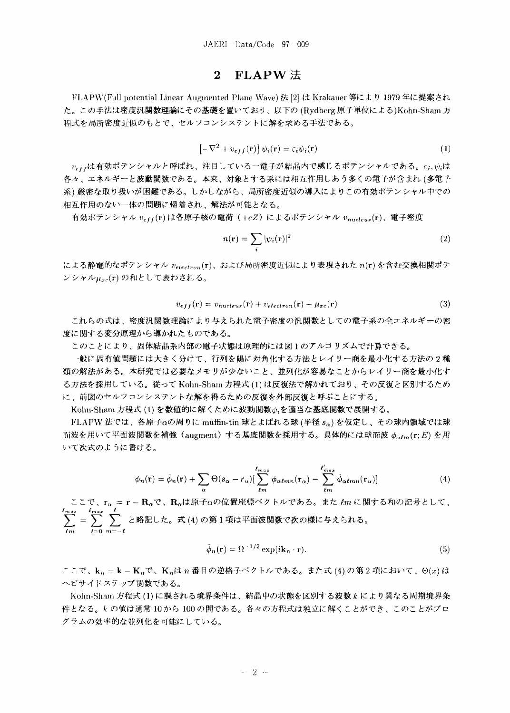### $FLAPW$  法  $2<sup>1</sup>$

FLAPW(Full potential Linear Augmented Plane Wave) 法 [2] は Krakauer 等により 1979 年に提案され た。この手法は密度汎関数理論にその基礎を置いており、以下の(Rydberg 原子単位による)Kohn-Sham 方 程式を局所密度近似のもとで、セルフコンシステントに解を求める手法である。

$$
\left[ -\nabla^2 + v_{eff}(\mathbf{r}) \right] \psi_i(\mathbf{r}) = \varepsilon_i \psi_i(\mathbf{r}) \tag{1}
$$

 $v_{eff}$ は有効ポテンシャルと呼ばれ、注目している一電子が結晶内で感じるポテンシャルである。ε;, ψ,は 各々、エネルギーと波動関数である。本来、対象とする系には相互作用しあう多くの電子が含まれ (多電子 系) 厳密な取り扱いが困難である。しかしながら、局所密度近似の導入によりこの有効ポテンシャル中での 相互作用のない一体の問題に帰着され、解法が可能となる。

有効ポテンシャル vetf(r)は各原子核の電荷 (+eZ) によるポテンシャル vnucleus(r)、電子密度

$$
n(\mathbf{r}) = \sum_{i} |\psi_i(\mathbf{r})|^2
$$
 (2)

による静電的なポテンシャル  $v_{electron}(\mathbf{r})$ 、および局所密度近似により表現された  $n(\mathbf{r})$ を含む交換相関ポテ ンシャルHrc(r)の和として表わされる。

$$
v_{eff}(\mathbf{r}) = v_{nucleus}(\mathbf{r}) + v_{electron}(\mathbf{r}) + \mu_{xc}(\mathbf{r})
$$
\n(3)

これらの式は、密度汎関数理論により与えられた電子密度の汎関数としての電子系の全エネルギーの密 度に関する変分原理から導かれたものである。

このことにより、固体結晶系内部の電子状態は原理的には図1のアルゴリズムで計算できる。

·般に固有値問題には大きく分けて、行列を陽に対角化する方法とレイリー商を最小化する方法の2種 類の解法がある。本研究では必要なメモリが少ないこと、並列化が容易なことからレイリー商を最小化す る方法を採用している。従って Kohn-Sham 方程式 (1) は反復法で解かれており、その反復と区別するため に、前図のセルフコンシステントな解を得るための反復を外部反復と呼ぶことにする。

Kohn-Sham 方程式(1)を数値的に解くために波動関数かるを適当な基底関数で展開する。

FLAPW 法では、各原子 $\alpha$ の周りに muffin-tin 球とよばれる球(半径  $s_{\alpha}$ ) を仮定し、その球内領域では球 面波を用いて平面波関数を補強 (augment) する基底関数を採用する。具体的には球面波  $\phi_{\alpha\ell m}(r;E)$  を用 いて次式のように書ける。

$$
\phi_n(\mathbf{r}) = \tilde{\phi}_n(\mathbf{r}) + \sum_{\alpha} \Theta(s_{\alpha} - r_{\alpha}) \Big[ \sum_{\ell m}^{\ell_{max}} \phi_{\alpha \ell m n}(\mathbf{r}_{\alpha}) - \sum_{\ell m}^{\ell'_{max}} \tilde{\phi}_{\alpha \ell m n}(\mathbf{r}_{\alpha}) \Big]
$$
(4)

ここで、r<sub>a</sub> = r - R<sub>a</sub>で、R<sub>a</sub>は原子aの位置座標ベクトルである。また lm に関する和の記号として、  $\sum_{i=1}^{t_{max}} = \sum_{i=1}^{t_{max}} \sum_{i=1}^{t}$ と略記した。式(4)の第1項は平面波関数で次の様に与えられる。

$$
\tilde{\phi}_n(\mathbf{r}) = \Omega^{-1/2} \exp(i\mathbf{k}_n \cdot \mathbf{r}).\tag{5}
$$

ここで、k<sub>n</sub> = k - K<sub>n</sub>で、K<sub>n</sub>は n 番目の逆格子ベクトルである。また式 (4) の第2項において、 $\Theta(x)$ は ヘビサイドステップ関数である。

Kohn-Sham 方程式 (1) に課される境界条件は、結晶中の状態を区別する波数 k により異なる周期境界条 件となる。kの値は通常10から100の間である。各々の方程式は独立に解くことができ、このことがプロ グラムの効率的な並列化を可能にしている。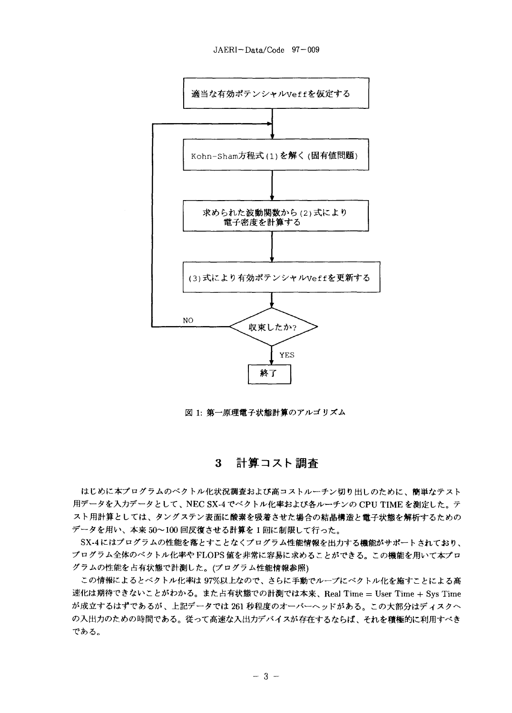![](_page_8_Figure_0.jpeg)

![](_page_8_Figure_1.jpeg)

図 1: 第一原理電子状態計算のアルゴリズム

### 計算コスト調査  $3<sup>1</sup>$

はじめに本プログラムのベクトル化状況調査および高コストルーチン切り出しのために、簡単なテスト 用データを入力データとして、NEC SX-4 でベクトル化率および各ルーチンの CPU TIME を測定した。テ スト用計算としては、タングステン表面に酸素を吸着させた場合の結晶構造と電子状態を解析するための データを用い、本来50~100回反復させる計算を1回に制限して行った。

SX-4にはプログラムの性能を落とすことなくプログラム性能情報を出力する機能がサポートされており、 プログラム全体のベクトル化率や FLOPS 値を非常に容易に求めることができる。この機能を用いて本プロ グラムの性能を占有状態で計測した。(プログラム性能情報参照)

この情報によるとベクトル化率は 97%以上なので、さらに手動でループにベクトル化を施すことによる高 速化は期待できないことがわかる。また占有状態での計測では本来、Real Time = User Time + Sys Time が成立するはずであるが、上記データでは 261 秒程度のオーバーヘッドがある。この大部分はディスクへ の入出力のための時間である。従って高速な入出力デバイスが存在するならば、それを積極的に利用すべき である。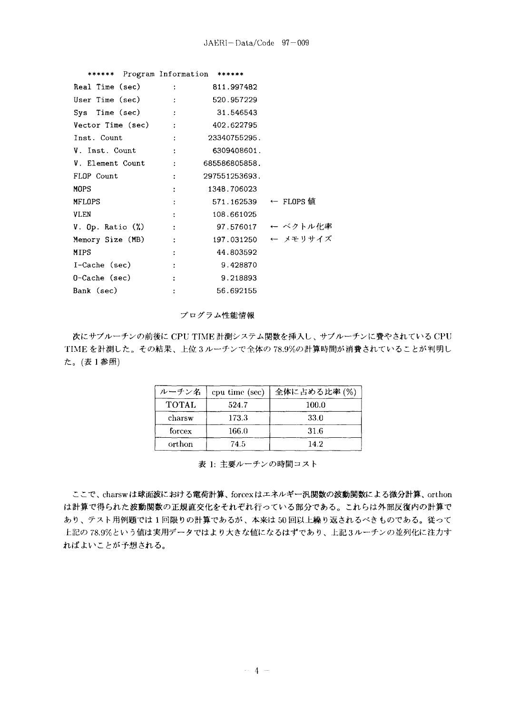| ****** Program Information ****** |                                                                                          |                      |                     |
|-----------------------------------|------------------------------------------------------------------------------------------|----------------------|---------------------|
| Real Time (sec) :                 |                                                                                          | 811.997482           |                     |
| User Time (sec) :                 |                                                                                          | 520.957229           |                     |
| Sys Time (sec) :                  |                                                                                          | 31.546543            |                     |
| $Vector Time (sec)$ : 402.622795  |                                                                                          |                      |                     |
| Inst. Count                       | <b>Contract Contract Contract</b>                                                        | 23340755295.         |                     |
| V. Inst. Count :                  |                                                                                          | 6309408601.          |                     |
| V. Element Count : 685586805858.  |                                                                                          |                      |                     |
| FLOP Count                        |                                                                                          | 297551253693.        |                     |
| MOPS                              |                                                                                          | 1348.706023          |                     |
| MFLOPS                            |                                                                                          | 571.162539 ← FLOPS 値 |                     |
| VLEN                              | $\ddot{\cdot}$                                                                           | 108,661025           |                     |
| $V.$ Op. Ratio $(\%)$             | $\mathcal{L}(\mathcal{L})$ and $\mathcal{L}(\mathcal{L})$ and $\mathcal{L}(\mathcal{L})$ |                      | 97.576017 ← ベクトル化率  |
| Memory Size (MB)                  | <b>Contract Contract Contract</b>                                                        |                      | 197.031250 ← メモリサイズ |
| MIPS                              | $\ddot{\cdot}$                                                                           | 44.803592            |                     |
| I-Cache (sec)                     | $\ddot{\cdot}$                                                                           | 9.428870             |                     |
| 0-Cache (sec)                     |                                                                                          | 9.218893             |                     |
| Bank (sec)                        |                                                                                          | 56.692155            |                     |

プログラム性能情報

次にサブルーチンの前後に CPU TIME 計測システム関数を挿入し、サブルーチンに費やされている CPU TIMEを計測した。その結果、上位3ルーチンで全体の78.9%の計算時間が消費されていることが判明し た。(表1参照)

| ルーチン名        | cpu time (sec) | 全体に占める比率 (%) |
|--------------|----------------|--------------|
| <b>TOTAL</b> | 524.7          | 100.0        |
| charsw       | 173.3          | 33.0         |
| forcex       | 166.0          | 31.6         |
| orthon       | 74.5           | 14.2         |

表 1: 主要ルーチンの時間コスト

ここで、charswは球面波における電荷計算、forcexはエネルギー汎関数の波動関数による微分計算、orthon は計算で得られた波動関数の正規直交化をそれぞれ行っている部分である。これらは外部反復内の計算で あり、テスト用例題では1回限りの計算であるが、本来は50回以上繰り返されるべきものである。従って 上記の78.9%という値は実用データではより大きな値になるはずであり、上記3ルーチンの並列化に注力す ればよいことが予想される。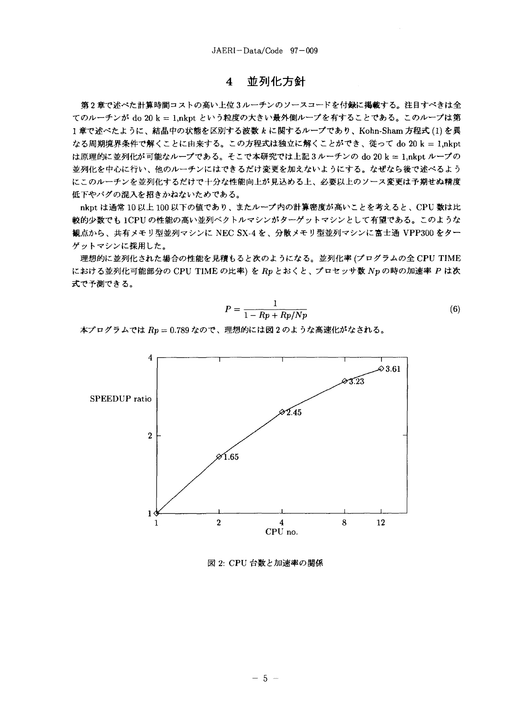### 並列化方針  $\overline{\mathbf{4}}$

第2章で述べた計算時間コストの高い上位3ルーチンのソースコードを付録に掲載する。注目すべきは全 てのルーチンが do 20 k = 1,nkpt という粒度の大きい最外側ループを有することである。このループは第 1章で述べたように、結晶中の状態を区別する波数 k に関するループであり、Kohn-Sham 方程式 (1) を異 なる周期境界条件で解くことに由来する。この方程式は独立に解くことができ、従って do 20 k = 1,nkpt は原理的に並列化が可能なループである。そこで本研究では上記3ルーチンの do 20 k = 1,nkpt ループの 並列化を中心に行い、他のルーチンにはできるだけ変更を加えないようにする。なぜなら後で述べるよう にこのルーチンを並列化するだけで十分な性能向上が見込める上、必要以上のソース変更は予期せぬ精度 低下やバグの混入を招きかねないためである。

nkpt は通常 10以上 100以下の値であり、またループ内の計算密度が高いことを考えると、CPU 数は比 較的少数でも 1CPUの性能の高い並列ベクトルマシンがターゲットマシンとして有望である。このような 観点から、共有メモリ型並列マシンに NEC SX-4を、分散メモリ型並列マシンに富士通 VPP300をター ゲットマシンに採用した。

理想的に並列化された場合の性能を見積もると次のようになる。並列化率(プログラムの全 CPU TIME における並列化可能部分の CPU TIME の比率)をRpとおくと、プロセッサ数 Npの時の加速率 P は次 式で予測できる。

$$
P = \frac{1}{1 - Rp + Rp/Np} \tag{6}
$$

本プログラムでは Rp = 0.789 なので、理想的には図2のような高速化がなされる。

![](_page_10_Figure_7.jpeg)

図 2: CPU 台数と加速率の関係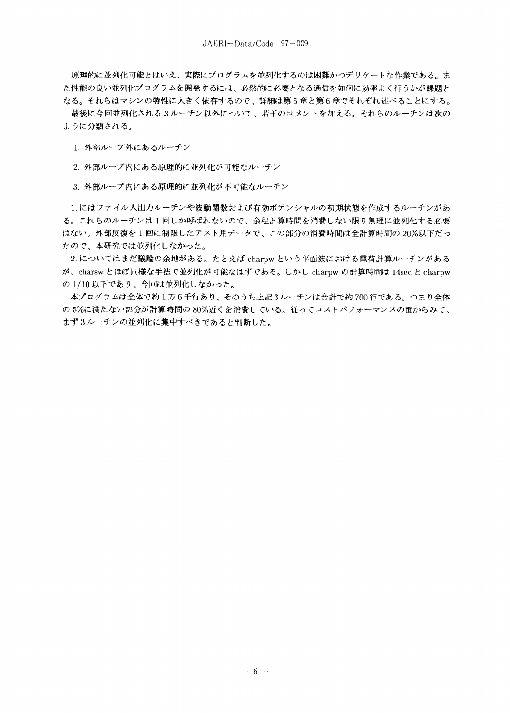原理的に並列化可能とはいえ、実際にプログラムを並列化するのは困難かつデリケートな作業である。ま た性能の良い並列化プログラムを開発するには、必然的に必要となる通信を如何に効率よく行うかが課題と なる。それらはマシンの特性に大きく依存するので、詳細は第5章と第6章でそれぞれ述べることにする。

最後に今回並列化される3ルーチン以外について、若干のコメントを加える。それらのルーチンは次の ように分類される。

1. 外部ループ外にあるルーチン

2. 外部ループ内にある原理的に並列化が可能なルーチン

3. 外部ループ内にある原理的に並列化が不可能なルーチン

1.にはファイル入出力ルーチンや波動関数および有効ポテンシャルの初期状態を作成するルーチンがあ る。これらのルーチンは1回しか呼ばれないので、余程計算時間を消費しない限り無理に並列化する必要 はない。外部反復を1回に制限したテスト用データで、この部分の消費時間は全計算時間の20%以下だっ たので、本研究では並列化しなかった。

2. についてはまだ議論の余地がある。たとえば charpw という平面波における電荷計算ルーチンがある が、charsw とほぼ同様な手法で並列化が可能なはずである。しかし charpw の計算時間は 14sec と charpw の1/10以下であり、今回は並列化しなかった。

本プログラムは全体で約1万6千行あり、そのうち上記3ルーチンは合計で約700行である。つまり全体 の5%に満たない部分が計算時間の80%近くを消費している。従ってコストパフォーマンスの面からみて、 まず3ルーチンの並列化に集中すべきであると判断した。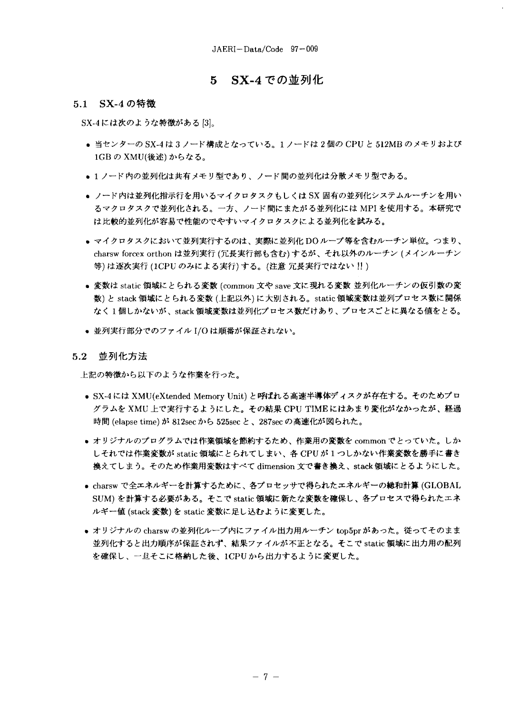### - SX-4 での並列化  $5<sup>1</sup>$

## 5.1 SX-4の特徴

SX-4には次のような特徴がある[3]。

- 当センターの SX-4は3ノード構成となっている。1ノードは2個の CPU と 512MB のメモリおよび 1GBのXMU(後述)からなる。
- 1 ノード内の並列化は共有メモリ型であり、ノード間の並列化は分散メモリ型である。
- ノード内は並列化指示行を用いるマイクロタスクもしくは SX 固有の並列化システムルーチンを用い るマクロタスクで並列化される。一方、ノード間にまたがる並列化には MPI を使用する。本研究で は比較的並列化が容易で性能のでやすいマイクロタスクによる並列化を試みる。
- マイクロタスクにおいて並列実行するのは、実際に並列化 DOループ等を含むルーチン単位。つまり、 charsw forcex orthon は並列実行 (冗長実行部も含む)するが、それ以外のルーチン (メインルーチン 等)は逐次実行(1CPUのみによる実行)する。(注意 冗長実行ではない!!)
- 変数は static 領域にとられる変数 (common 文や save 文に現れる変数 並列化ルーチンの仮引数の変 数)と stack 領域にとられる変数 (上記以外)に大別される。static 領域変数は並列プロセス数に関係 なく1個しかないが、stack領域変数は並列化プロセス数だけあり、プロセスごとに異なる値をとる。
- 並列実行部分でのファイル I/O は順番が保証されない。

#### $5.2$ 並列化方法

上記の特徴から以下のような作業を行った。

- SX-4には XMU(eXtended Memory Unit)と呼ばれる高速半導体ディスクが存在する。そのためプロ グラムを XMU 上で実行するようにした。その結果 CPU TIMEにはあまり変化がなかったが、経過 時間 (elapse time) が 812sec から 525sec と、287sec の高速化が図られた。
- オリジナルのプログラムでは作業領域を節約するため、作業用の変数を common でとっていた。しか しそれでは作業変数が static 領域にとられてしまい、各 CPU が1つしかない作業変数を勝手に書き 換えてしまう。そのため作業用変数はすべて dimension 文で書き換え、stack 領域にとるようにした。
- charsw で全エネルギーを計算するために、各プロセッサで得られたエネルギーの総和計算 (GLOBAL SUM)を計算する必要がある。そこで static 領域に新たな変数を確保し、各プロセスで得られたエネ ルギー値 (stack 変数)を static 変数に足し込むように変更した。
- オリジナルの charswの並列化ループ内にファイル出力用ルーチン top5pr があった。従ってそのまま 並列化すると出力順序が保証されず、結果ファイルが不正となる。そこで static 領域に出力用の配列 を確保し、一旦そこに格納した後、1CPUから出力するように変更した。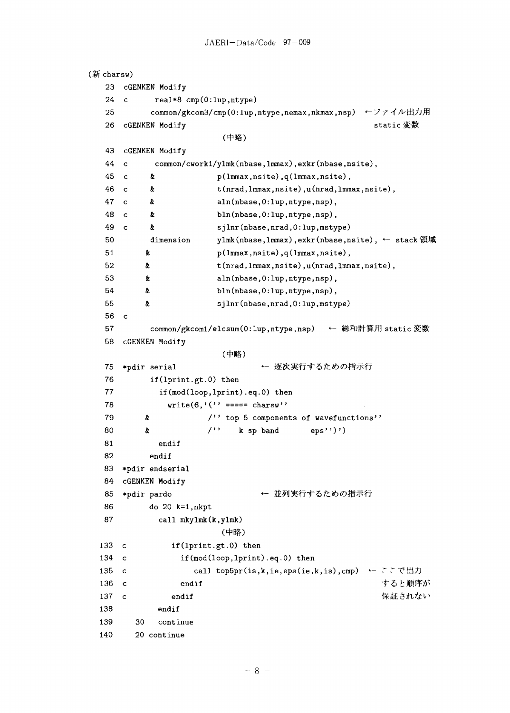```
(ff charsw)
  23 cGENKEN Modify
  24 c real*8 cmp(0:lup.ntype)
  25 common/gkcom3/cmp(0: lup,ntype,nemax,nkmax,nsp) ←ファイル出力用
  26 cGENKEN Modify static 変数
                     (中略)
  43 cGENKEN Modify
  44 c common/cworkl/ylink(nbase,lmmax),exkr(nbase,nsite),
  45 c & p(lmmax,nsite),q(lmmax,nsite),
  46 c & t(nrad,lmmax,nsite),u(nrad,lmmax,nsite),
  47 c & aln(nbase,0:lup.ntype,nsp),
  48 c & bin(nbase,0:lup.ntype,nsp),
  49 c & sjlnr(nbase,nrad.O:lup.mstype)
  50 dimension ylmk(nbase,lmmax), exkr(nbase,nsite), ← stack 領域
  51 & p(lmmax,nsite),q(lmmax,nsite),
  52 & t(nrad,lmmax,nsite),u(nrad,lmmax,nsite),
  53 & aln(nbase,0:lup.ntype,nsp),
  54 & bin(nbase,0:lup.ntype,nsp),
  55 & sjlnr(nbase,nrad,O:lup,mstype)
  56 c
  57 common/gkcom1/elcsum(0:lup,ntype,nsp) ← 総和計算用 static 変数
  58 cGENKEN Modify
                     (中略)
  75 *pdir serial → 本次実行するための指示行
  76 if(lprint.gt.O) then
  77 if(mod(loop,lprint).eq.O) then
  78 write(6, '('') == z = charsw')'79 & /'' top 5 components of wavefunctions''
  80 k /'' k sp band eps''')')
  81 endif
  82 endif
  83 *pdir endserial
  84 cGENKEN Modify
  85 *pdir pardo → 本列実行するための指示行
  86 do 20 k=l,nkpt
  87 call mkylmk(k.ylmk)
                     (中略)
 133 c if(lprint.gt.O) then
 134 c if(mod(loop,1print).eq.0) then
 135 c call top5pr(is, k, ie, eps(ie, k, is), cmp) ← ここで出力
 136 c endif
                                              すると順序が
                                              保証されない
 137 c endif
 138 endif
 139 30 continue
 140 20 continue
```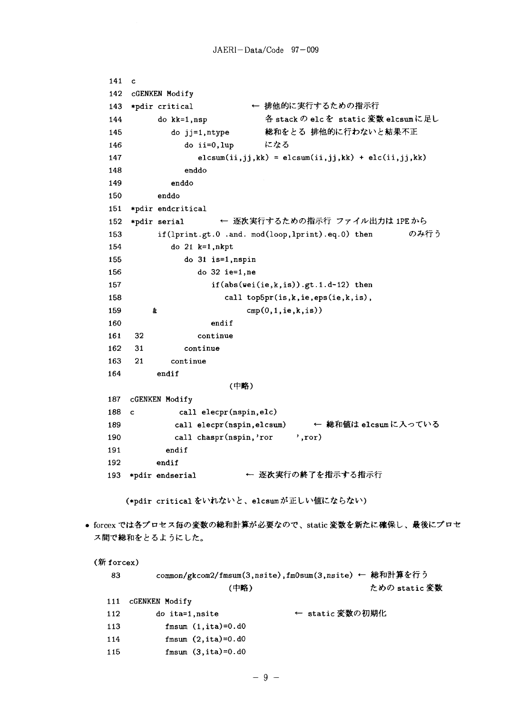141 c

```
142 cGENKEN Modify
   143 *pdir critical ← 排他的に実行するための指示行
   144 do kk=l,nsp # stack <D elc £: static ^M, elcsum I
                           総和をとる 排他的に行わないと結果不正
   145 do jj=l,ntype
                           になる
   146 do ii=0,lup
   147 elcsum(ii,jj,kk) =elcsum(ii,jj,kk) +elc(ii,jj,kk)148 enddo
   149 enddo
   150 enddo
   151 *pdir endcritical
   152 *pdir serial ← 逐次実行するための指示行 ファイル出力は 1PE から
   153 if (lprint.gt.O .and. mod(loop.lprint).eq.O) then <Dfyfr 0
   154 do 21 k=1, nkpt155 do 31 is=l,nspin
   156 do 32 ie=l,ne
   157 if(abs(wei(ie,k,is)).gt.l.d-12) then
   158 call top5pr(is,k,ie,eps(ie,k,is),
   159 \& cmp(0,1,ie,k,is))
   160 endif
   161 32 continue
   162 31 continue
   163 21 continue
   164 endif
                     (中略)
   187 cGENKEN Modify
   188 c call elecpr(nspin, elc)
   189 call elecpr(nspin,elcsum) ← 総和値は elcsumに入っている
   190 call chaspr(nspin,'ror ',ror)
   191 endif
   192 endif
   193 *pdir endserial ← 逐次実行の終了を指示する指示行
      (*pdir critical をいれないと、elcsumが正しい値にならない)
• forcex では各プロセス毎の変数の総和計算が必要なので、static 変数を新たに確保し、最後にプロセ
 ス間で総和をとるようにした。
 (新 forcex)
   83 common/gkcom2/fmsum(3,nsite),fm0sum(3,nsite) ← 総和計算を行う
                     (中略) fcho dia to the fc かの static 変数
   111 cGENKEN Modify
   112 do ita=1,nsite → static 変数の初期化
   113 fmsum (1, ita)=0.d0
   114 fmsum (2,ita)=0.d0
   115 fmsum (3,ita)=0.d0
```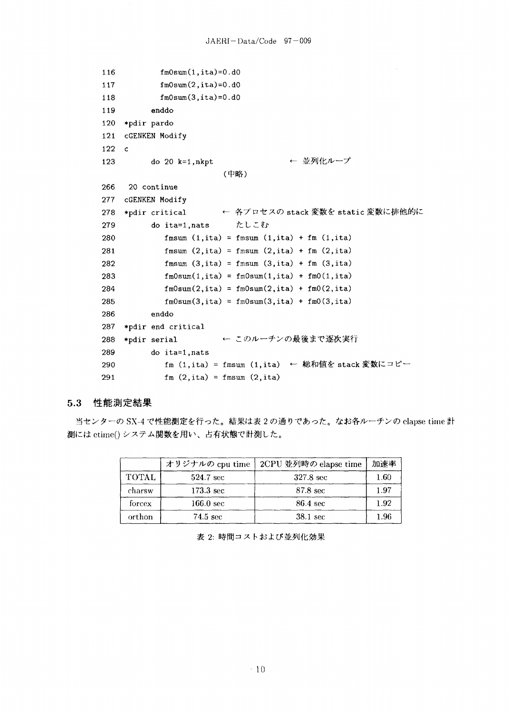```
116
           fm0sum(1,ita)=0.d0117
           fm0sum(2
,ita)=0
.dO
118
           fm0sum(3
,ita)=0
.dO
119
         enddo
120
*pdir pardo
121
    cGENKEN Modify
122
   c
                                    ← 並列化ループ
123 do 20 k=l,nkpt
                       (中略)
266 20 continue
277 cGENKEN Modify
278 *pdir_critical            ← 各プロセスの stack 変数を static
279 do ita=1, nats たしこむ
280 fmsum (l.ita) = fmsum (l,ita) + fm (l,
ita)
281 fmsum (2,ita) = fmsum (2,ita) + fm (2,
ita)
282 fmsum (3,ita) = fmsum (3,ita) + fm (3,
ita)
283 fm0sum(1,ita) = fm0sum(1,ita) + fm0(1,ita)
284 fm0sum(2,ita) = fm0sum(2,ita) + fm0(2),ita)
285 fm0sum(3,ita) = fm0sum(3,ita) + fm0(3,ita)
286 enddo
287 *pdir end critical
288 *pdir serial ← このルーチンの最後まで逐次実行
289 do ita=l,nats
290                fm (1,ita) = fmsum (1,ita)  ← 総和値を stack 変数にコ
291 fm (2, ita) = fmsum (2, ita)
```
#### 5.3 性能測定結果

当センターの SX-4 で性能測定を行った。結果は表2の通りであった。なお各ルーチンの clapse time 計 測には etime()システム関数を用い、占有状態で計測した。

|              | オリジナルの cpu time     | 2CPU 並列時の elapse time | 加速率      |
|--------------|---------------------|-----------------------|----------|
| <b>TOTAL</b> | 524.7 sec           | 327.8 sec             | $1.60\,$ |
| charsw       | 173.3 sec           | 87.8 sec              | 1.97     |
| forcex       | $166.0 \text{ sec}$ | 86.4 sec              | 1.92     |
| orthon       | 74.5 sec            | 38.1 sec              | 1.96     |

表 2: 時間コストおよび並列化効果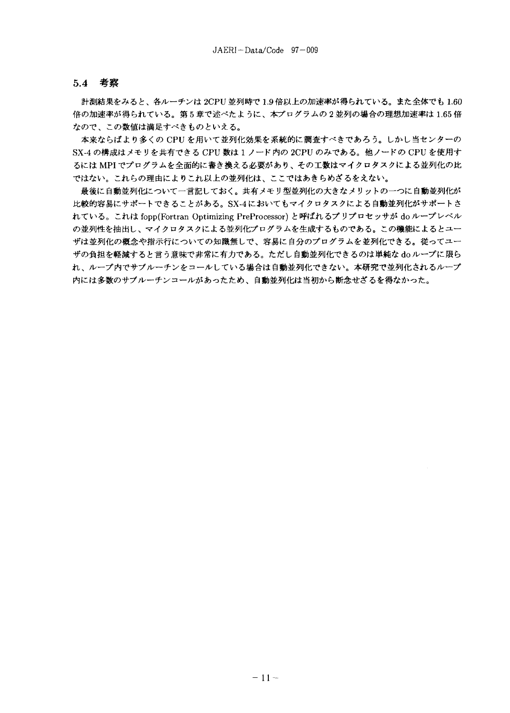### 5.4 考察

計測結果をみると、各ルーチンは 2CPU 並列時で1.9倍以上の加速率が得られている。また全体でも1.60 倍の加速率が得られている。第5章で述べたように、本プログラムの2並列の場合の理想加速率は1.65倍 なので、この数値は満足すべきものといえる。

本来ならばより多くの CPU を用いて並列化効果を系統的に調査すべきであろう。しかし当センターの SX-4 の構成はメモリを共有できる CPU 数は 1 ノード内の 2CPU のみである。他ノードの CPU を使用す るには MPI でプログラムを全面的に書き換える必要があり、その工数はマイクロタスクによる並列化の比 ではない。これらの理由によりこれ以上の並列化は、ここではあきらめざるをえない。

最後に自動並列化について一言記しておく。共有メモリ型並列化の大きなメリットの一つに自動並列化が 比較的容易にサポートできることがある。SX-4においてもマイクロタスクによる自動並列化がサポートさ れている。これは fopp(Fortran Optimizing PreProcessor) と呼ばれるプリプロセッサが do ループレベル の並列性を抽出し、マイクロタスクによる並列化プログラムを生成するものである。この機能によるとユー ザは並列化の概念や指示行についての知識無しで、容易に自分のプログラムを並列化できる。従ってユー ザの負担を軽減すると言う意味で非常に有力である。ただし自動並列化できるのは単純な do ループに限ら れ、ループ内でサブルーチンをコールしている場合は自動並列化できない。本研究で並列化されるループ 内には多数のサブルーチンコールがあったため、自動並列化は当初から断念せざるを得なかった。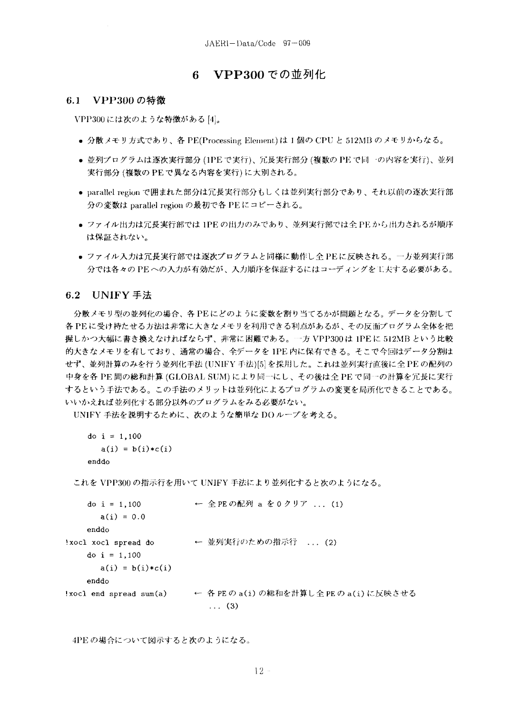## 6 VPP300 での並列化

### 6.1 VPP300の特徴

VPP300には次のような特徴がある[4]。

- 分散メモリ方式であり、各 PE(Processing Element) は 1 個の CPU と 512MB のメモリからなる。
- 並列プログラムは逐次実行部分(1PEで実行)、冗長実行部分(複数の PE で同一の内容を実行)、並列 実行部分(複数の PE で異なる内容を実行)に大別される。
- parallel region で囲まれた部分は冗長実行部分もしくは並列実行部分であり、それ以前の逐次実行部 分の変数は parallel region の最初で各 PE にコピーされる。
- ファイル出力は冗長実行部では 1PE の出力のみであり、並列実行部では全 PE から出力されるが順序 は保証されない。
- ファイル入力は冗長実行部では逐次プログラムと同様に動作し全 PEに反映される。一方並列実行部 分では各々のPEへの入力が有効だが、入力順序を保証するにはコーディングを工夫する必要がある。

### 6.2 UNIFY 手法

分散メモリ型の並列化の場合、各PEにどのように変数を割り当てるかが問題となる。データを分割して 各PEに受け持たせる方法は非常に大きなメモリを利用できる利点があるが、その反面プログラム全体を把 握しかつ大幅に書き換えなければならず、非常に困難である。…方 VPP300は 1PE に 512MB という比較 的大きなメモリを有しており、通常の場合、全データを 1PE 内に保有できる。そこで今回はデータ分割は せず、並列計算のみを行う並列化手法 (UNIFY 手法)[5] を採用した。これは並列実行直後に全 PE の配列の 中身を各 PE 間の総和計算 (GLOBAL SUM) により同一にし、その後は全 PE で同一の計算を冗長に実行 するという手法である。この手法のメリットは並列化によるプログラムの変更を局所化できることである。 いいかえれば並列化する部分以外のプログラムをみる必要がない。

UNIFY 手法を説明するために、次のような簡単なDOループを考える。

```
do i = 1,100a(i) = b(i) * c(i)enddo
```
これを VPP300 の指示行を用いて UNIFY 手法により並列化すると次のようになる。

```
do i = 1,100← 全 PE の配列 a を 0 クリア ... (1)
       a(i) = 0.0enddo
'xocl xocl spread do
                         - ← 並列実行のための指示行 - . . . (2)
    do i = 1,100a(i) = b(i)*c(i)enddo
                      ← 各 PE の a(i) の総和を計算し全 PE の a(i) に反映させる
!xocl end spread sum(a)
                             \ldots (3)
```
4PEの場合について図示すると次のようになる。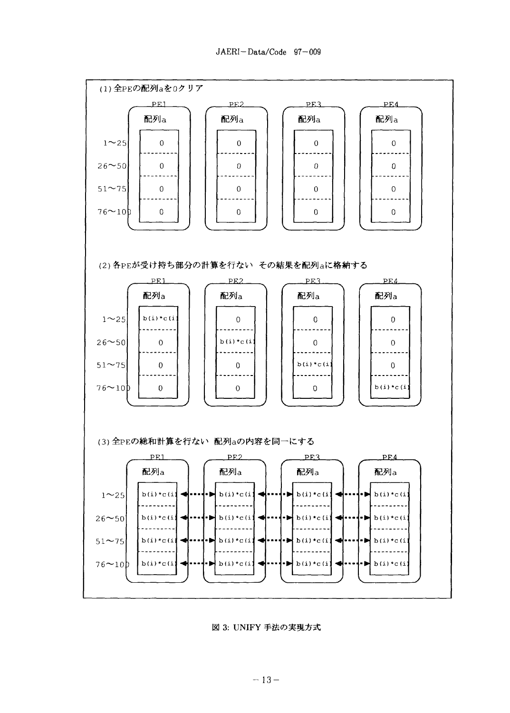![](_page_18_Figure_1.jpeg)

図 3: UNIFY 手法の実現方式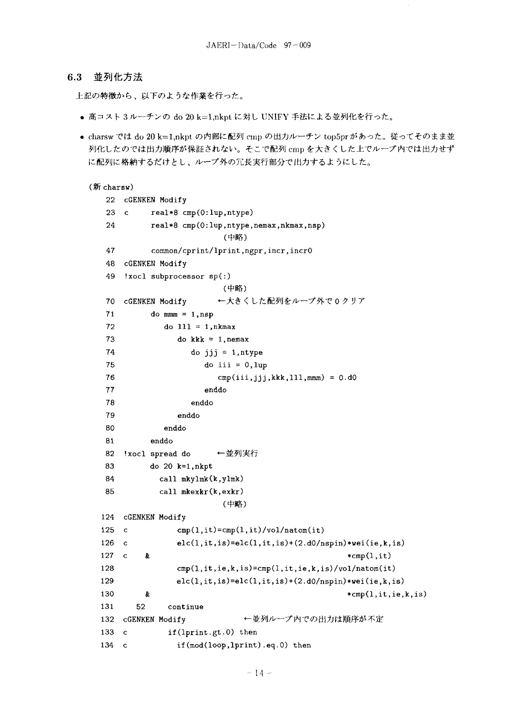#### **6.3** 並列化方法

上記の特徴から、以下のような作業を行った。

- 高コスト3ルーチンの do 20 k=1,nkpt に対し UNIFY 手法による並列化を行った。
- charswでは do 20 k=1,nkpt の内部に配列 cmp の出力ルーチン top5pr があった。従ってそのまま並 列化したのでは出力順序が保証されない。そこで配列 cmp を大きくした上でループ内では出力せず に配列に格納するだけとし、ループ外の冗長実行部分で出力するようにした。

```
(新 charsw)
  22 cGENKEN Modify
  23 c real*8 cmp(0:lup.ntype)
  24 real*8 cmp(0:lup,ntype,nemax,nkmax,nsp)
                    (中略)
  47 common/cprint/lprint,ngpr,incr,incr0
  48 cGENKEN Modify
  49 Ixocl subprocessor sp(:)
                    (中略)
  70 cGENKEN Modify ←大きくした配列をループ外で0クリア
  71 do mmm = 1, nsp
  72 do 111 = 1, nkmax73 do kkk = 1, nemax
  74 do jjj = l.ntype
  75 do iii = O.lup
  76 cmp(iii,jjj,kkk,111,mmm) = 0. d077 enddo
  78 enddo
  79 enddo
  80 enddo
  81 enddo
  82 !xocl spread do ←並列実行
  83 do 20 k=l,nkpt
  84 call mkylmk(k,ylmk)
  85 call mkexkr(k,exkr)
                    (中略)
 124 cGENKEN Modify
 125 c cmp(1,it)=cmp(1,it)/vol/natom(it)126 c elc(l,it,is)=elc(l,it,is)+(2.d0/nspin)*wei(ie,k,is)
 127 c \& *cmp(1,it)
 128 cmp(l,it,ie,k,is)=cmp(l,it,ie,k,is)/vol/natom(it)
 129 elc(l,it,is)=elc(l,it,is)+(2.dO/nspin)*wei(ie,k,is)
 130 & *cmp(1,it,ie,k,is)
 131 52 continue
 132 cGENKEN Modify ^WV^
 133 c if(lprint.gt.0) then
 134 c if(mod(loop,lprint).eq.0) then
```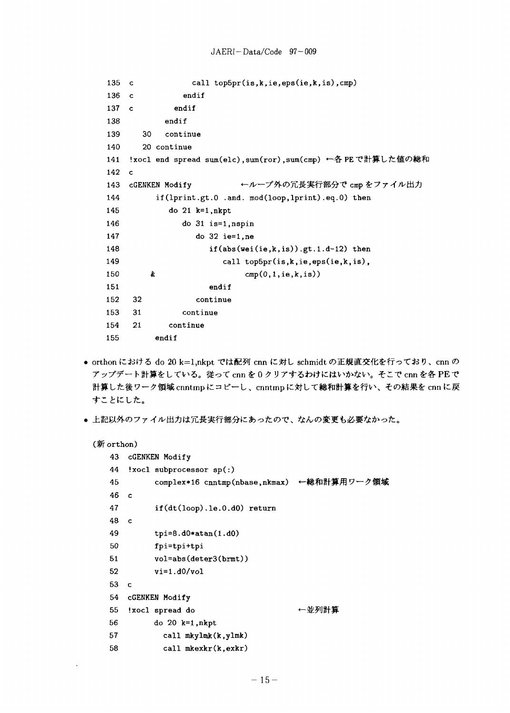```
135 c call top5pr(is,k,ie,eps(ie,k,is),cmp)
136 c endif
137 c endif
138 endif
139 30 continue
140 20 continue
141 !xocl end spread sum(elc),sum(ror),sum(cmp) ←各 PE で計算した値の総和
142 c
143 cGENKEN Modify ←ループ外の冗長実行部分で cmp をファイル出力
144 if(lprint.gt. 0 .and. mod(loop,lprint).eq.O) then
145 do 21 k=l,nkpt
146 do 31 is=l,nspin
147 do 32 ie=l,ne
148 if(abs(wei(ie,k,is)).gt.l.d-12) then
149 call top5pr(is,k,ie,eps(ie,k,is),
150 & cmp(0,1,ie,k,is))
151 endif
152 32 continue
153 31 continue
154 21 continue
155 endif
```
- orthon における do 20 k=1,nkpt では配列 cnn に対し schmidt の正規直交化を行っており、cnn の アップデート計算をしている。従って cnn を0クリアするわけにはいかない。そこで cnn を各 PE で 計算した後ワーク領域 cnntmp にコピーし、cnntmp に対して総和計算を行い、その結果を cnn に戻 すことにした。
- 上記以外のファイル出力は冗長実行部分にあったので、なんの変更も必要なかった。

```
(新 orthon)
```
 $\ddot{\phantom{a}}$ 

| 43 |             | cGENKEN Modify                             |       |
|----|-------------|--------------------------------------------|-------|
| 44 |             | $'xoc1$ subprocessor $sp(:)$               |       |
| 45 |             | complex*16 cnntmp(nbase,nkmax) ←総和計算用ワーク領域 |       |
| 46 | c           |                                            |       |
| 47 |             | $if(dt(logp).le.0.d0)$ return              |       |
| 48 | $\mathbf c$ |                                            |       |
| 49 |             | $tipi=8.d0*atan(1.d0)$                     |       |
| 50 |             | fpi=tpi+tpi                                |       |
| 51 |             | $vol = abs(deter3(brmt))$                  |       |
| 52 |             | $vi=1.d0/vol$                              |       |
| 53 | C           |                                            |       |
| 54 |             | <b>CGENKEN Modify</b>                      |       |
| 55 |             | !xocl spread do                            | ←並列計算 |
| 56 |             | do $20$ $k=1, nkpt$                        |       |
| 57 |             | call mkylmk(k,ylmk)                        |       |
| 58 |             | call mkexkr(k,exkr)                        |       |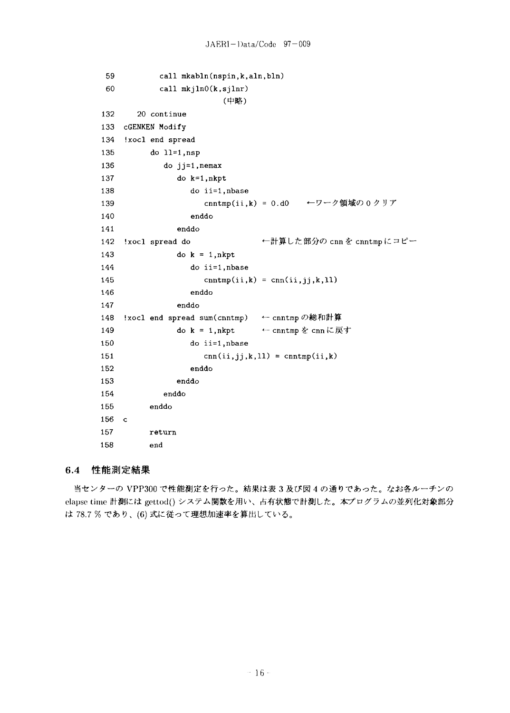```
59
              call mkabln(nspin,k,aln,bln)
 60
              call mkjln0(k,sjlnr)(中略)
        20 continue
132
133
     cGENKEN Modify
     !xocl end spread
134
           do ll=1, nsp
135
136
               do jj=1, nemax
137
                  do k=1, nkpt
138
                     do ii=1, nbase
139
                        \text{cnntmp}(ii, k) = 0. d0←ワーク領域の0クリア
140
                     enddo
141
                  enddo
142
     !xocl spread do
                                      ←計算した部分の cnn を cnntmpにコピー
                  do k = 1, nkpt143
144
                     do ii=1.nbase
145
                        \text{cnntmp}(ii, k) = \text{cnn}(ii, jj, k, 11)146
                     enddo
147
                  enddo
     !xocl end spread sum(cnntmp)
                                      ← cnntmp の総和計算
148
                  do k = 1, nkpt← cnntmpを cnnに戻す
149
150
                     do ii=1, nbase
                        cnn(ii, jj, k, 11) = cnntmp(ii, k)151
152
                     enddo
153
                  enddo
154
               enddo
           enddo
155
156
    \mathbf{c}157
           return
158
           end
```
### $6.4$ 性能測定結果

当センターの VPP300 で性能測定を行った。結果は表3及び図4の通りであった。なお各ルーチンの elapse time 計測には gettod() システム関数を用い、占有状態で計測した。本プログラムの並列化対象部分 は 78.7 % であり、(6) 式に従って理想加速率を算出している。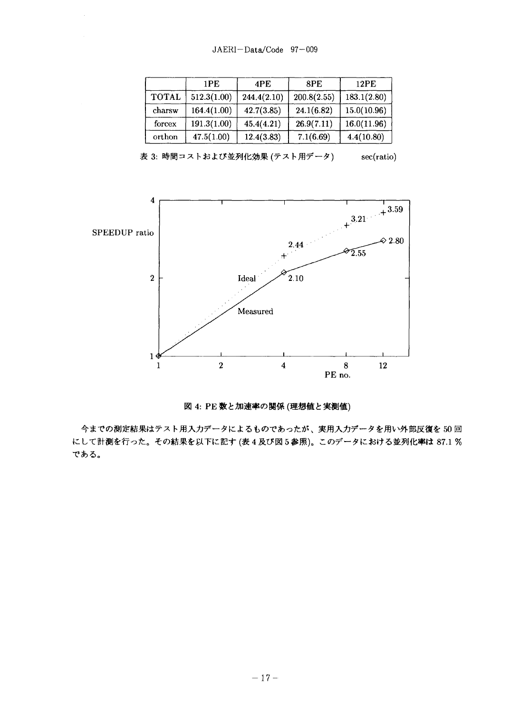|              | 1PE         | 4PE         | 8PE         | 12PE        |
|--------------|-------------|-------------|-------------|-------------|
| <b>TOTAL</b> | 512.3(1.00) | 244.4(2.10) | 200.8(2.55) | 183.1(2.80) |
| charsw       | 164.4(1.00) | 42.7(3.85)  | 24.1(6.82)  | 15.0(10.96) |
| forcex       | 191.3(1.00) | 45.4(4.21)  | 26.9(7.11)  | 16.0(11.96) |
| orthon       | 47.5(1.00)  | 12.4(3.83)  | 7.1(6.69)   | 4.4(10.80)  |

表 3: 時間コストおよび並列化効果 (テスト用データ) sec(ratio)

![](_page_22_Figure_3.jpeg)

図 4: PE 数と加速率の関係 (理想値と実測値)

今までの測定結果はテスト用入力データによるものであったが、実用入力データを用い外部反復を50回 にして計測を行った。その結果を以下に記す (表4及び図5参照)。このデータにおける並列化率は 87.1 % である。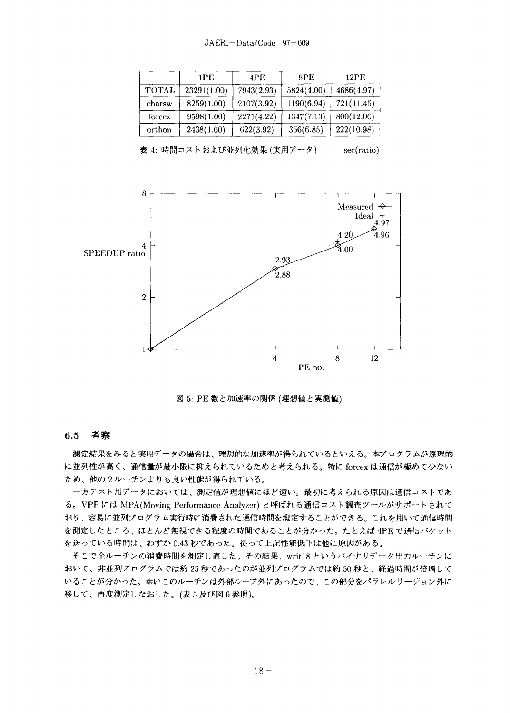|              | 1PE.        | 4PE        | 8PE        | 12PE       |
|--------------|-------------|------------|------------|------------|
| <b>TOTAL</b> | 23291(1.00) | 7943(2.93) | 5824(4.00) | 4686(4.97) |
| charsw       | 8259(1.00)  | 2107(3.92) | 1190(6.94) | 721(11.45) |
| forcex       | 9598(1.00)  | 2271(4.22) | 1347(7.13) | 800(12.00) |
| orthon       | 2438(1.00)  | 622(3.92)  | 356(6.85)  | 222(10.98) |

表 4: 時間コストおよび並列化効果 (実用データ) sec(ratio)

![](_page_23_Figure_3.jpeg)

図 5: PE 数と加速率の関係 (理想値と実測値)

#### **6.5** 考察

測定結果をみると実用データの場合は、理想的な加速率が得られているといえる。本プログラムが原理的 に並列性が高く、通信量が最小限に抑えられているためと考えられる。特に forcex は通信が極めて少ない ため、他の2ルーチンよりも良い性能が得られている。

一方テスト用データにおいては、測定値が理想値にほど遠い。最初に考えられる原因は通信コストであ る。VPP には MPA(Moving Performance Analyzer) と呼ばれる通信コスト調査ツールがサポートされて おり、容易に並列プログラム実行時に消費された通信時間を測定することができる。これを用いて通信時間 を測定したところ、ほとんど無視できる程度の時間であることが分かった。たとえば 4PE で通信パケット を送っている時間は、わずか0.43秒であった。従って上記性能低下は他に原因がある。

そこで全ルーチンの消費時間を測定し直した。その結果、writ18 というバイナリデータ出力ルーチンに おいて、非並列プログラムでは約25秒であったのが並列プログラムでは約50秒と、経過時間が倍増して いることが分かった。幸いこのルーチンは外部ループ外にあったので、この部分をパラレルリージョン外に 移して、再度測定しなおした。(表5及び図6参照)。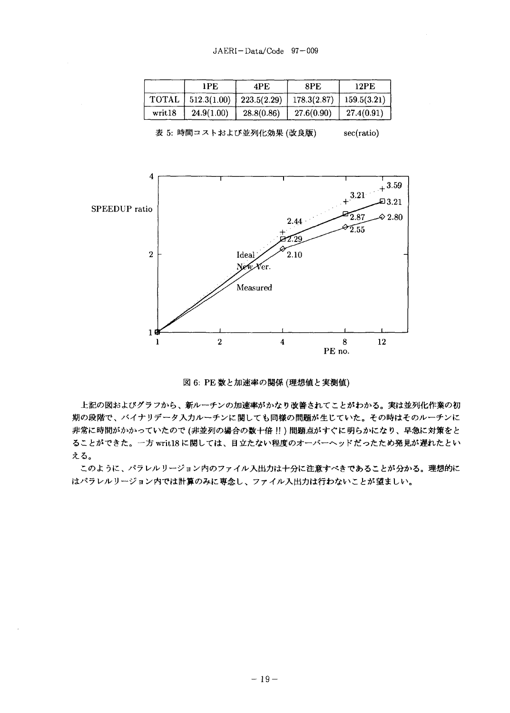|        | 1 PF.       | 4PE           | 8PE         | 12PE        |
|--------|-------------|---------------|-------------|-------------|
| TOTAL. | 512.3(1.00) | $223.5(2.29)$ | 178.3(2.87) | 159.5(3.21) |
| writ18 | 24.9(1.00)  | 28.8(0.86)    | 27.6(0.90)  | 27.4(0.91)  |

 $\boldsymbol{4}$  $+3.59$  $+^{3.21}$  $\square 3.21$ SPEEDUP ratio  $\overline{2.87}$  $\otimes$  2.80 2.44  $\mathcal{F}_{2.55}$  $\overline{2}$ Ideal 2.10 6  $\mathcal{X}_{\mathrm{er.}}$ Measured  $1<sup>1</sup>$  $\overline{2}$  $\overline{\mathbf{4}}$ 8 12  $\mathbf{1}$ PE no.

表 5: 時間コストおよび並列化効果 (改良版) sec(ratio)

図 6: PE 数と加速率の関係 (理想値と実測値)

上記の図およびグラフから、新ルーチンの加速率がかなり改善されてことがわかる。実は並列化作業の初 期の段階で、バイナリデータ入力ルーチンに関しても同様の問題が生じていた。その時はそのルーチンに 非常に時間がかかっていたので(非並列の場合の数十倍!!)問題点がすぐに明らかになり、早急に対策をと ることができた。一方 writ18に関しては、目立たない程度のオーバーヘッドだったため発見が遅れたとい える。

このように、パラレルリージョン内のファイル入出力は十分に注意すべきであることが分かる。理想的に はパラレルリージョン内では計算のみに専念し、ファイル入出力は行わないことが望ましい。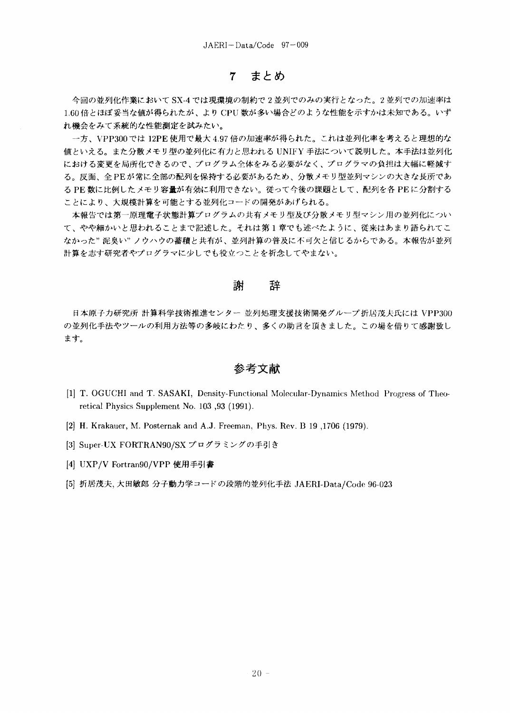### まとめ  $\overline{7}$

今回の並列化作業において SX-4 では現環境の制約で2並列でのみの実行となった。2並列での加速率は 1.60倍とほぼ妥当な値が得られたが、より CPU 数が多い場合どのような性能を示すかは未知である。いず れ機会をみて系統的な性能測定を試みたい。

一方、VPP300では 12PE 使用で最大 4.97 倍の加速率が得られた。これは並列化率を考えると理想的な 値といえる。また分散メモリ型の並列化に有力と思われる UNIFY 手法について説明した。本手法は並列化 における変更を局所化できるので、プログラム全体をみる必要がなく、プログラマの負担は大幅に軽減す る。反面、全PEが常に全部の配列を保持する必要があるため、分散メモリ型並列マシンの大きな長所であ る PE 数に比例したメモリ容量が有効に利用できない。従って今後の課題として、配列を各 PEに分割する ことにより、大規模計算を可能とする並列化コードの開発があげられる。

本報告では第一原理電子状態計算プログラムの共有メモリ型及び分散メモリ型マシン用の並列化につい て、やや細かいと思われることまで記述した。それは第1章でも述べたように、従来はあまり語られてこ なかった"泥臭い"ノウハウの蓄積と共有が、並列計算の普及に不可欠と信じるからである。本報告が並列 計算を志す研究者やプログラマに少しでも役立つことを祈念してやまない。

#### 謝 辞

日本原子力研究所 計算科学技術推進センター 並列処理支援技術開発グループ折居茂夫氏には VPP300 の並列化手法やツールの利用方法等の多岐にわたり、多くの助言を頂きました。この場を借りて感謝致し ます。

## 参考文献

- [1] T. OGUCHI and T. SASAKI, Density-Functional Molecular-Dynamics Method Progress of Theoretical Physics Supplement No. 103,93 (1991).
- [2] H. Krakauer, M. Posternak and A.J. Freeman, Phys. Rev. B 19 ,1706 (1979).
- [3] Super-UX FORTRAN90/SX プログラミングの手引き
- [4] UXP/V Fortran90/VPP 使用手引書
- [5] 折居茂夫, 大田敏郎 分子動力学コードの段階的並列化手法 JAERI-Data/Code 96-023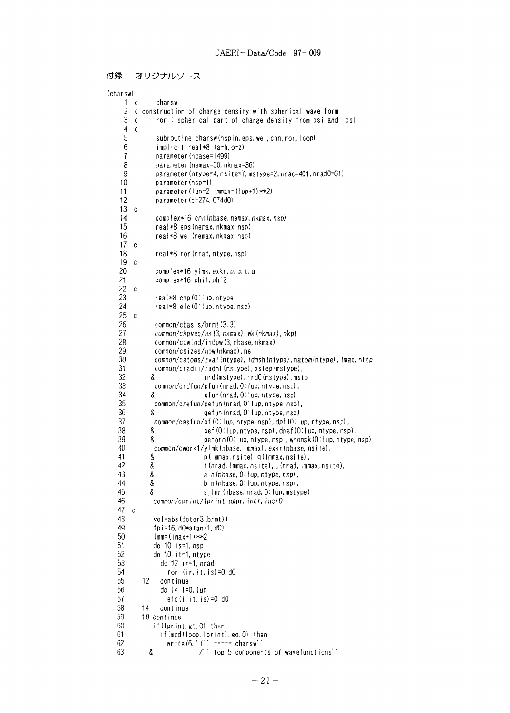```
付録
    オリジナルソース
```

```
(charsw)
     1 c ---- charsw
     2 c construction of charge density with spherical wave form<br>3 c - ror : spherical part of charge density from psi and
     3 c ror : spherical part of charge density from psi and \overline{p}si 4 c
     \begin{matrix} 4 & c \\ 5 & 5 \end{matrix}subroutine charsw(nspin, eps, wei, cnn, ror, loop)
     6 implicit real *8 (a-h, 0-z)
     7 parameter (nbase=1499)<br>8 parameter (nemax=50, nk
     8 parameter (nemax=50, nkmax=36)<br>9 parameter (ntype=4, nsite=7, ms
    9 parameter(ntype=4,nsite=7,mstype=2,nrad=401,nrad0=61)<br>10 parameter(nsp=1)
    10 parameter (nsp=1)<br>11 parameter (lup=2,
                 parameter (lup=2, lmmax=(lup+1)**2)12 parameter (c=274.O74dO)
    \begin{matrix} 13 & c \\ 14 \end{matrix}14 complex*16 cnn (nbase, nemax, nkmax, nsp)<br>15 real*8 eps (nemax, nkmax, nsp)
                 real*8 eps (nemax, nkmax, nsp)
    16 real*8 wei (nemax, nkmax, nsp)
   \frac{17}{18} c
                 real*8 ror (nrad, ntype, nsp)
   \begin{matrix} 19 & c \\ 20 & 1 \end{matrix}20 complex*16 ylmk, exkr, p, q, t, u
                 complex*16 phi1, phi2
   \begin{matrix} 22 & c \\ 23 & 22 \end{matrix}23 real*8 cmp(0: lup, ntype)<br>24 real*8 elc(0: lup, ntype,
                 real*8 elc (0:1up, ntype, nsp)
   \frac{25}{26} c
   26 common/cbasis/brmt(3,3)<br>27 common/ckpvec/ak(3,nkma
   27 common/ckpvec/ak(3, nkmax), wk(nkmax), nkpt<br>28 common/cpwind/indpw(3, nbase, nkmax)
   28 common/cpwind/indpw(3, nbase, nkmax)<br>29 common/csizes/now(nkmax), ne
   29 common/csizes/npw(nkmax), ne<br>30 common/catoms/zval(ntype), i
   30 common/catoms/zval(ntype),idmsh(ntype),natom(ntype),Imax,nttp<br>31 common/cradii/radmt(mstype),xstep(mstype),
   31 common/cradi i/radmt(mstype), xstep(mstype),
   32 & nrd(mstype),nrdO(mstype),mstp
   33 common/crdfun/pfun(nrad,0- lup, ntype, nsp),
   34 & qfun(nrad, OMup, ntype, nsp)
   35 common/crefun/pefun(nrad, 0:lup, ntype, nsp),
   36 & qefun (nrad, 0- lup, ntype, nsp)
   37 common/casfun/pf(0:lup, ntype,nsp), dpf(0:lup,ntype, nsp),
   38 8 pef (0: lup, ntype, nsp), dpef (0: lup, ntype, nsp),<br>39 8 penorm (0: lup, ntype, nsp), wronsk (0: lup, ntype,
   39 Senorm(0: lup, ntype, nsp), wronsk(0: lup, ntype, nsp)<br>40 - Common/cwork1/vlmk(phase, Immax), exkr(phase, nsite),
   40 comroon/cwork1/ylmk (nbase, Immax), exkr (nbase, nsi te),
   41 & p (Immax, nsite), q (Immax, nsite),<br>42 & t (nrad, Immax, nsite), u (nrad, Imm
   42 & t (nrad, Immax, nsite), u (nrad, Immax, nsite),<br>43 & aln (nbase, 0: lup, ntype, nsp),
   43 & aln(nbase, 0'lup, ntype, nsp),
   44 & bln (nbase, 0: lup, ntype, nsp),
   45 8 sjlnr(nbase, nrad, 0:1up, mstype)<br>46 common/cprint/lprint, ngpr, incr, incr0
                common/cprint/lprint.ngpr, incr, incrO
   \frac{47}{48} c
                48 vol=abs(deter3(brmt))
   49 fpi=16.d0*atan(1.d0)<br>50 Imm=(Imax+1)**2
   50 \text{Imm}=(\text{Im}x+1)**2<br>51 do 10 is=1. nsp
   51 do 10 is=1, nsp<br>52 do 10 it=1, nty
   52 do 10 it=1,ntype
   53 do 12 ir=1,nrad
   54 ror (ir, it, is) =0. dO
   55 12 continue
   56 do 14 l=0, lup
   57 elc(1, it, is) =0. d0<br>58 14 continue
   58 14 continue
   59 10 continue
                if (Iprint. gt. 0) then
   61 if (mod (loop, Iprint), eq. 0) then
   62 write(6,' (" ===== charsw"
   63 & /" top 5 components of wavefunctions''
```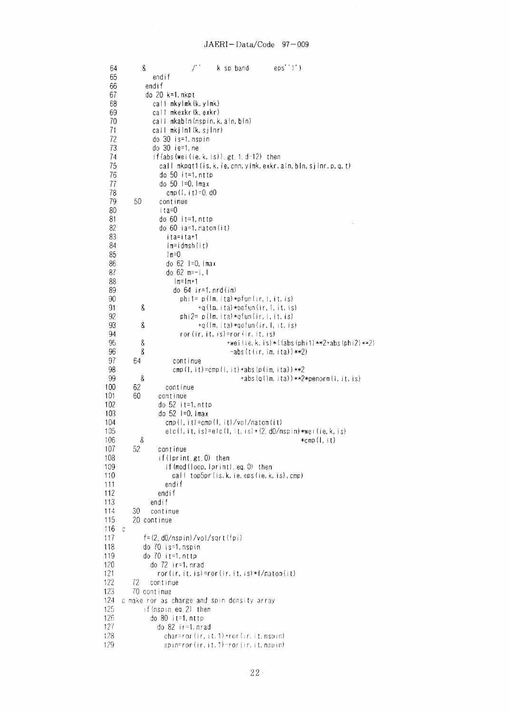| 64  |   | 8   |                                             |                          |  | k sp band | $eps'$ ; $)$                                                                                                           |
|-----|---|-----|---------------------------------------------|--------------------------|--|-----------|------------------------------------------------------------------------------------------------------------------------|
| 65  |   |     | endif                                       |                          |  |           |                                                                                                                        |
| 66  |   |     | endif                                       |                          |  |           |                                                                                                                        |
| 67  |   |     | do 20 k=1, nkpt                             |                          |  |           |                                                                                                                        |
| 68  |   |     | call mkylmk(k,ylmk)                         |                          |  |           |                                                                                                                        |
| 69  |   |     | call mkexkr(k,exkr)                         |                          |  |           |                                                                                                                        |
| 70  |   |     | call mkabln (nspin, k, aln, bln)            |                          |  |           |                                                                                                                        |
| 71  |   |     | call mkjIn1(k, sjInr)                       |                          |  |           |                                                                                                                        |
| 72  |   |     | do 30 is=1, nspin                           |                          |  |           |                                                                                                                        |
| 73  |   |     | do 30 ie=1, ne                              |                          |  |           |                                                                                                                        |
| 74  |   |     |                                             |                          |  |           |                                                                                                                        |
|     |   |     |                                             |                          |  |           | if(abs(wei(ie.k.is)).gt.1.d-12) then                                                                                   |
| 75  |   |     |                                             |                          |  |           | call mkpqt1(is,k,ie,cnn,ylmk,exkr,aln,bln,sjlnr,p,q,t)                                                                 |
| 76  |   |     | do 50 it=1,nttp                             |                          |  |           |                                                                                                                        |
| 77  |   |     | do 50 l=0, Imax                             |                          |  |           |                                                                                                                        |
| 78  |   |     |                                             | $cmp(1, it)=0, d0$       |  |           |                                                                                                                        |
| 79  |   | 50  | continue                                    |                          |  |           |                                                                                                                        |
| 80  |   |     | ita≕0                                       |                          |  |           |                                                                                                                        |
| 81  |   |     | do 60 it=1,nttp                             |                          |  |           |                                                                                                                        |
| 82  |   |     | do 60 ia=1, natom(it)                       |                          |  |           |                                                                                                                        |
| 83  |   |     | ita=ita+1                                   |                          |  |           |                                                                                                                        |
| 84  |   |     | im=idmsh(it)                                |                          |  |           |                                                                                                                        |
| 85  |   |     | $1m=0$                                      |                          |  |           |                                                                                                                        |
| 86  |   |     | do 62 $1=0$ , $1max$                        |                          |  |           |                                                                                                                        |
| 87  |   |     | do 62 $m=-1$ , I                            |                          |  |           |                                                                                                                        |
| 88  |   |     | $ m=1m+1$                                   |                          |  |           |                                                                                                                        |
| 89  |   |     |                                             | do $64$ ir=1, $nrd$ (im) |  |           |                                                                                                                        |
| 90  |   |     |                                             |                          |  |           | phi1= p(lm, ita)*pfun(ir, l, it, is)                                                                                   |
| 91  |   | 8   |                                             |                          |  |           | $+q$ (Im, ita) $*pefun$ (ir, I, it, is)                                                                                |
| 92  |   |     |                                             |                          |  |           | phi2= p(Im, ita)*qfun(ir, I, it, is)                                                                                   |
| 93  |   | 8   |                                             |                          |  |           | +q(lm,ita)*qefun(ir,l,it,is)                                                                                           |
| 94  |   |     |                                             |                          |  |           | ror(ir, it, is)=ror(ir, it, is)                                                                                        |
| 95  |   | 8   |                                             |                          |  |           | +wei(ie, k, is) * ((abs (phi1) ** 2+abs (phi2) ** 2)                                                                   |
| 96  |   | 8   |                                             |                          |  |           | $-abs(t(ir, 1m, 1ta))$ **2)                                                                                            |
| 97  |   | 64  | continue                                    |                          |  |           |                                                                                                                        |
| 98  |   |     |                                             |                          |  |           | cmp (1, it) = cmp (1, it) + abs (p( $ m$ , ita)) ** 2                                                                  |
| 99  |   | 8   |                                             |                          |  |           | $\pm$ abs $(q(1m, ita))$ **2*penorm $(1, i1, i5)$                                                                      |
| 100 |   | 62  | continue                                    |                          |  |           |                                                                                                                        |
| 101 |   | 60  | continue                                    |                          |  |           |                                                                                                                        |
| 102 |   |     | do 52 it=1, nttp                            |                          |  |           |                                                                                                                        |
| 103 |   |     | do 52 1=0, Imax                             |                          |  |           |                                                                                                                        |
| 104 |   |     |                                             |                          |  |           | $\mathsf{cmp}(\mathsf{l},\mathsf{it}) = \mathsf{cmp}(\mathsf{l},\mathsf{it})/\mathsf{vol}/\mathsf{matom}(\mathsf{it})$ |
| 105 |   |     |                                             |                          |  |           | elc(l, it, is)=elc(l, it, is) + (2, d0/nspin) *wei (ie, k, is)                                                         |
| 106 |   | 8   |                                             |                          |  |           | *cmp(l,it)                                                                                                             |
| 107 |   | 52  | continue                                    |                          |  |           |                                                                                                                        |
| 108 |   |     | if(lprint.gt.0) then                        |                          |  |           |                                                                                                                        |
| 109 |   |     |                                             |                          |  |           | if(mod(loop,lprint).eq.0) then                                                                                         |
| 110 |   |     |                                             |                          |  |           | call top5pr(is, k, ie, eps(ie, k, is), cmp)                                                                            |
| 111 |   |     | endif                                       |                          |  |           |                                                                                                                        |
| 112 |   |     | endif                                       |                          |  |           |                                                                                                                        |
| 113 |   |     | endif                                       |                          |  |           |                                                                                                                        |
| 114 |   | 30  | continue                                    |                          |  |           |                                                                                                                        |
| 115 |   |     | 20 continue                                 |                          |  |           |                                                                                                                        |
| 116 | C |     |                                             |                          |  |           |                                                                                                                        |
| 117 |   |     | $f = (2, d0/nspin) / vol / sqrt(fpi)$       |                          |  |           |                                                                                                                        |
| 118 |   |     | do 70 is=1, nspin                           |                          |  |           |                                                                                                                        |
| 119 |   |     | do $70$ it=1, nttp                          |                          |  |           |                                                                                                                        |
| 120 |   |     | do 72 ir=1, nrad                            |                          |  |           |                                                                                                                        |
| 121 |   |     |                                             |                          |  |           | $ror (ir, it, is) = for (ir, it, is) * f/natom (it)$                                                                   |
| 122 |   | 72. | continue                                    |                          |  |           |                                                                                                                        |
| 123 |   |     | 70 continue                                 |                          |  |           |                                                                                                                        |
| 124 |   |     | c make ror as charge and spin density array |                          |  |           |                                                                                                                        |
| 125 |   |     | if(nspin.eq.2) then                         |                          |  |           |                                                                                                                        |
| 126 |   |     | do $80$ it=1, $n$ ttp                       |                          |  |           |                                                                                                                        |
| 127 |   |     | do 82 ir=1,nrad                             |                          |  |           |                                                                                                                        |
| 128 |   |     |                                             |                          |  |           | char=ror(ir, it, 1)+ror(ir, it, $nspin$ )                                                                              |
| 129 |   |     |                                             |                          |  |           | spin=ror(ir, it, 1)-ror(ir, it, nspin)                                                                                 |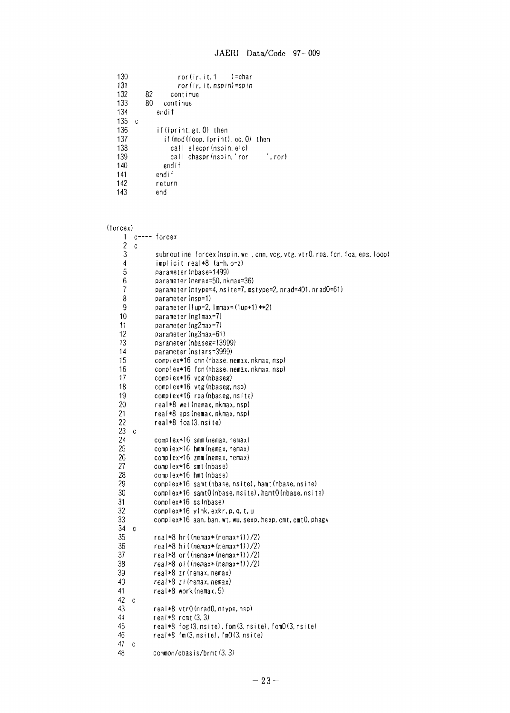```
130 ror(ir, it, 1 )=char<br>131 ror(ir, it, nspin)=spin
    131 ror(ir, it. nspin)=spin<br>132 82 continue
   132 82 continue
   133 80 continue
                   endif
    135 c
   136 if(lprint.gt.0) then<br>137 if(mod(loop.lprint)
   137 if (mod (loop, Iprint). eq. 0) then<br>138 call elecor (nspin, elc)
   138 call elecpr (nspin, elc)<br>139 call chaspr (nspin, 'ror
   139 call chaspr (nspin,' ror ', ror )<br>140 endif
   140 endif
   141 endif
                  return
   143 end
(forcex)
      1 c --- forcex
      \begin{matrix} 2 & c \\ 3 & 2 \end{matrix}3 subroutine forcex (nspin, wei, cnn, vcg, vtg, vtr0, rpa, fcn, foa, eps, loop)<br>4 implicit real*8 (a-h, o-z)
      4 implicit real*8 (a-h,o-z)
      5 parameter (nbase=1499)<br>6 parameter (nemax=50, nk
      6 parameter (nemax=50, nkmax=36)<br>7 parameter (ntype=4, nsite=7, ms
      7 parameter (ntype=4, nsite=7, mstype=2, nrad=401, nradO=61)<br>8 parameter (nsp=1)
      8 parameter(nsp=1)<br>9 parameter(lup=2,
    9 parameter (lup=2, lmmax=(lup+1)**2)<br>10 parameter (ng1max=7)
    10 parameter (ng1max=7)<br>11 parameter (ng2max=7)
    11 parameter (ng2max=7)<br>12 parameter (ng3max=61
    12 parameter(ng3max=61)<br>13 parameter(nbaseg=139
                  parameter(nbaseg=13999)
    14 parameter (nstars=3999)<br>15 complex*16 cnn (nbase, n
    15 complex*16 cnn(nbase,nemax,nkmax,nsp)
    16 complex*16 fcn (nbase, nemax, nkmax, nsp)<br>17 complex*16 vcg (nbaseg)
    17 complex*16 vcg(nbaseg)<br>18 complex*16 vtg(nbaseg,
    18 complex*16 vtg(nbaseg, nsp)<br>19 complex*16 rpa(nbaseg, nsit
    19 complex*16 rpa(nbaseg, nsite)<br>20 real*8 wei(nemax, nkmax, nsp)
    20 real*8 wei (nemax, nkmax, nsp)
    21 real*8 eps(nemax,nkmax,nsp)<br>22 real*8 foa(3,nsite)
         22 real*8 foa(3, nsite)
    \frac{23}{24}24 complex*16 smm (nemax, nemax)<br>25 complex*16 hmm (nemax, nemax)<br>26 complex*16 zmm (nemax, nemax)<br>27 complex*16 smt (nbase)
                  complex*16 hmm(nemax, nemax)
                  complex*16 zmm (nemax, nemax)
    27 compIex*16 smt (nbase)
    28 complex*16 hmt (nbase)
    29 complex*16 samt (nbase,nsite), hamt(nbase, nsite)
    30 complex*16 samt0(nbase, nsite), hamt0(nbase, nsite)<br>31 complex*16 ss(nbase)
    31 compIex*16 ss (nbase)
    32 complex*16 ylmk, exkr.p, q, t, u
         complex*16 aan, ban, wt, wu, sexp, hexp, cmt, cmt0, phagv
    34 35
    35 real*8 hr((nemax*(nemax+1))/2)
    36 real*8 hi ((nemax*(nemax+1))/2)<br>37 real*8 or ((nemax*(nemax+1))/2)
    37 real*8 or((nemax*(nemax+1))/2)<br>38 real*8 oi((nemax*(nemax+1))/2)
    38 real*8 oi ((nemax*(nemax+1))/2)<br>39 real*8 zr(nemax, nemax)
    39 real*8 zr (nemax, nemax)<br>40 real*8 zi (nemax, nemax)
    40 real*8 zi (nemax, nemax)<br>41 real*8 work (nemax, 5)
                  real*8 work(nemax, 5)
    \frac{42}{43} c
    43 real*8 vtr0 (nrad0, ntype, nsp)<br>44 real*8 rcmt (3, 3)
    44 real*8 rcmt(3,3)
                  real*8 fog(3, nsite), fom(3, nsite), fom0(3, nsite)
    46 real*8 fm(3, nsite), fmO(3, nsite)
    \frac{47}{48} c
                  common/cbasis/brmt(3,3)
```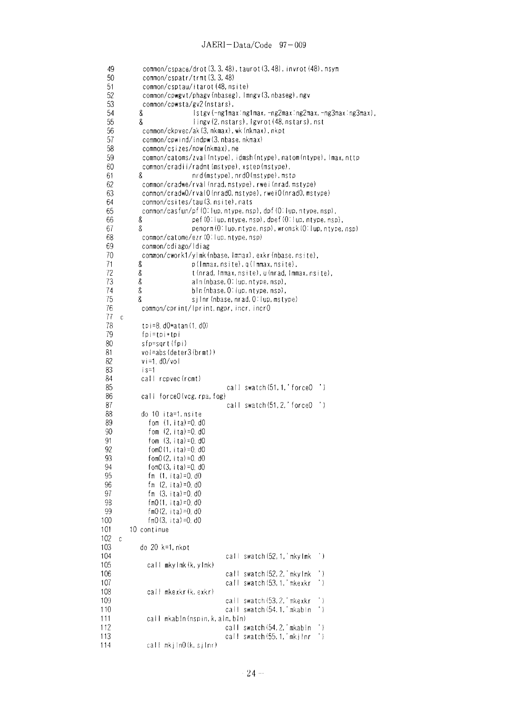```
49
               common/cspace/drot (3,3,48), taurot (3,48), invrot (48), nsym
  50
               common/cspatr/trmt(3, 3, 48)
  51
               common/csptau/itarot(48, nsi te)
  52
              common/cpwgvt/phagv(nbaseg), Imngv(3, nbaseg), ngv
  53
             common/cpwsta/gv2(nstars),<br>& lstgv(-ng1ma
  54
             8 Istgv(-ng1max:ng1max, -ng2max:ng2max, -ng3max:ng3max),<br>8 Iingv(2. nstars), Igvrot(48. nstars), nst
  55
                                8 Iingv(2,nstars), Igvrot(48,nstars),nst
  56
              common/ckpvec/ak(3, nkmax), wk(nkmax), nkpt
  57
              common/cpwi nd/indpw (3, nbase, nkmax)
  58
              common/cs i zes/npw(nkmax), ne
  59
              common/catoms/zval(ntype), idmsh(ntype),natom(ntype), Imax, nttp
  60
             common/cradii/radmt(mstype), xstep(mstype),<br>8 mrd(mstype).nrd(lmstype).nst
                                8 nrd(mstype), nrdO(mstype), mstp
  61
  62
              common/cradwe/rval(nrad, mstype), rwei (nrad, mstype)
              common/cradwO/rvalO(nradO, mstype), rweiO(nradO, mstype)
  63
              common/csites/tau(3,nsite),nats
  64
  65
             common/casfun/pf (0:lup,ntype. nsp), dpf(0:lup, ntype, nsp),
  66
             8 pef (0: lup, ntype, nsp), dpef (0: lup, ntype, nsp), 8<br>8 penorm (0: lup, ntype, nsp), wronsk (0: lup, ntype,
  67
                                penorm(0: lup, ntype, nsp), wronsk(0: lup, ntype, nsp)
  68
              common/catome/ezr (0: lup, ntype, nsp)
  69
              common/cdiago/ldiag
  70
             common/cwork1/ylmk(nbase, lmmax), exkr(nbase, nsite),<br>& p(lmmax, nsite), q(lmmax, nsite),
  71
             8 p(Immax, nsite), q(Immax, nsite),<br>8 t(nrad, Immax, nsite), u(nrad, Imm
             8 t (nrad, Immax, nsite), u(nrad, Immax, nsite),<br>8 aln (nbase, Ollup, ntype, nsp),
  72
  73
             8 aln(nbase, 0: lup, ntype, nsp),<br>8 bln(nbase, 0: lup, ntype, nsp),
  74
                               b In (nbase, 0: lup, ntype, nsp),
  75
             8 silnr (nbase, nrad, 0. lup, mstype)
  76
              common/cprint/lprint,ngpr,incr,incr0
  77
      \mathbf{c}78
              tpi=8. dO*atan(1.dO)
  79
              fpi=tpi+tpi
  80
              sfp=sqrt (fpi)
 81
              vol=abs(deter3(brmt))
 82
              v i=1. dO/vol
 83
              is=1
              call repvec(rcmt)
 85
                                            call swatch(51, 1, ' force0')
 86call forceO(vcg.rpa.fog)
 87<br>88
                                            call swatch(51, 2, 'forceO')
              do 10 i ta=1,ns ite
 89
                fom (1, i(a) = 0, d0)90
                 fom (2, ita)=O. dO
 91
                fom (3, ita)=O. dO
 92
                fom0(1, i \tan) = 0. d093
                fomO(2, ita)=O. dO
 94
                fom0(3, i \tan) = 0.dO
 95
                fm (1, ita)=O. dO
 96
                fm (2, ita)=O. dO
 97
                 fm (3, ita)=0.dO
 98
                 ta)=O. dO
fmO(1,
 99
                 ta)=O. dO
fmO(2,
100
                 rmo (3, fta) = O. do
101
          10 continue
102
     \mathbb{C}103
             do 20 k=1.nkpt
104
                                           call swatch(52, 1, 'mkyImk ')
105
                call mkyImk(k,yImk)
106
                                           call swatch (52, 2, 'mky Imk ')<br>call swatch (53, 1, 'mkexkr ')
107
                                            call swatch(53, 1, 'mkexkr
108
                call mkexkr (k. exkr)
109
                                            call swatch (53,2,' mkexkr ')
110
                                            calI swatch (54.1,'mkabln ')
111
                call mkabln (nspin, k, aln, bln)
112
                                           call swatch (54,2,' mkabln ')
113
                                           call swatch (55, 1, 'mkj lnr'')call mkj ln0(k, s) Inr)
114
```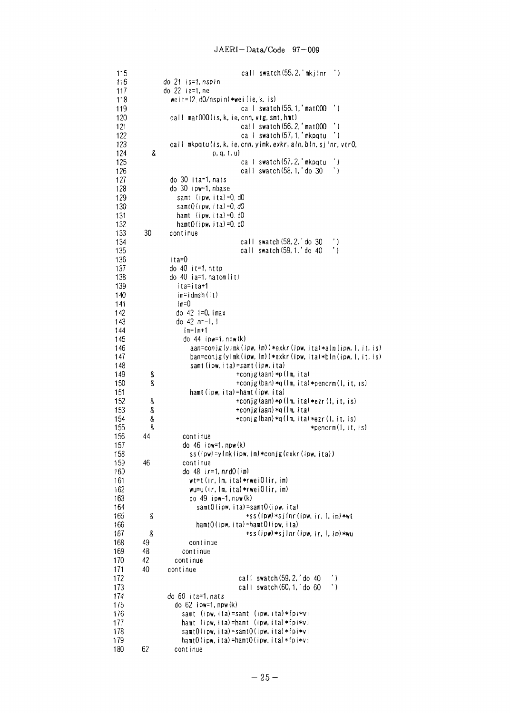|            |    | call swatch $(55, 2, 'mkjlnr ' )$                                                                     |
|------------|----|-------------------------------------------------------------------------------------------------------|
| 115<br>116 |    | do 21 is=1.nspin                                                                                      |
| 117        |    | do 22 ie=1, ne                                                                                        |
| 118        |    | weit= $(2, d0/nspin)$ *wei $(ie, k, is)$                                                              |
| 119        |    | call swatch $(56, 1, 'mat000)$<br>$\cdot$ )                                                           |
| 120        |    | call mat000(is, k, ie, cnn, vtg, smt, hmt)                                                            |
| 121        |    | $^{\prime}$ )<br>call swatch (56, 2, 'mat000                                                          |
| 122        |    | call swatch (57, 1, 'mkpqtu<br>۰)                                                                     |
| 123        |    | call mkpqtulis, k, ie, cnn, ylmk, exkr, aln, bln, sjlnr, vtr0,                                        |
| 124        | 8  | p, q, t, u)                                                                                           |
| 125        |    | call swatch (57, 2, 'mkpqtu<br>۰)                                                                     |
| 126        |    | $^{\prime}$ )<br>call swatch $(58, 1, 7)$ do 30                                                       |
| 127        |    | do 30 ita=1, nats                                                                                     |
| 128        |    | do 30 ipw=1, nbase                                                                                    |
| 129        |    | samt (ipw.ita)=0.d0                                                                                   |
| 130        |    | $samt0$ (ipw, ita) = 0, dO                                                                            |
| 131        |    | hamt (ipw, ita) = 0. $d0$                                                                             |
| 132        |    | hamt0(ipw, ita)=0, d0                                                                                 |
| 133        | 30 | continue                                                                                              |
| 134        |    | call swatch $(58, 2, 1)$ do 30<br>$^{\prime}$ )                                                       |
| 135        |    | call swatch (59, 1, ' do 40<br>$^{\prime}$ )                                                          |
| 136        |    | ita=0                                                                                                 |
| 137        |    | do 40 it=1, nttp                                                                                      |
| 138<br>139 |    | do 40 ia=1, natom(it)<br>ita=ita+1                                                                    |
| 140        |    | im=idmsh(it)                                                                                          |
| 141        |    | $Im=0$                                                                                                |
| 142        |    | do $42$ $\pm 0$ , $\frac{1}{2}$                                                                       |
| 143        |    | do $42$ m=-1, 1                                                                                       |
| 144        |    | im=im+1                                                                                               |
| 145        |    | $do$ 44 $ipw=1, npw(k)$                                                                               |
| 146        |    | $aan=conjg(ylmk(ipw,lm))*exkr(ipw,ita)*aln(ipw, l, it, is)$                                           |
| 147        |    | ban=conjg(ylmk(ipw, lm))*exkr(ipw, ita)*bln(ipw, l, it, is)                                           |
| 148        |    | samt (ipw, ita)=samt (ipw, ita)                                                                       |
| 149        | 8  | +conjg(aan)*p(lm,ita)                                                                                 |
| 150        | 8  | +conjg(ban)*q(lm,ita)*penorm(l,it,is)                                                                 |
| 151        |    | hamt(ipw, ita)=hamt(ipw, ita)                                                                         |
| 152        | 8  | $+$ conjg(aan) $*$ p( $\mathsf{Im}, \mathsf{ita}$ ) $*$ ezr( $\mathsf{I}, \mathsf{it}, \mathsf{is}$ ) |
| 153        | 8  | +conjg(aan)*q(lm,ita)                                                                                 |
| 154        | 8  | $+$ conjg(ban) $*$ q(lm, ita) $*$ ezr(l, it, is)                                                      |
| 155        | 8  | *penorm(1, it, is)                                                                                    |
| 156        | 44 | continue                                                                                              |
| 157        |    | do 46 ipw=1, npw(k)                                                                                   |
| 158        |    | ss(ipw)=ylmk(ipw, lm)*conjg(exkr(ipw, ita))                                                           |
| 159        | 46 | continue<br>do $48$ ir=1, $nrdO(i\text{m})$                                                           |
| 160<br>161 |    | $wt=t$ (ir, $\{\overline{m}, i$ ta) *rwei $0$ (ir, im)                                                |
| 162        |    | $wu=u(ir, Im, ita)*rwei0(ir, im)$                                                                     |
| 163        |    | $do$ 49 ipw=1, npw $(k)$                                                                              |
| 164        |    | samtO(ipw, ita)=samtO(ipw, ita)                                                                       |
| 165        | 8  | +ss(ipw)*sj{nr(ipw, ir, 1, im)*wt                                                                     |
| 166        |    | hamtO(ipw, ita)=hamtO(ipw, ita)                                                                       |
| 167        | 8  | $+$ ss(ipw) $*$ sj $\ln r$ (ipw, ir, $\ln r$ ) $*$ wu                                                 |
| 168        | 49 | continue                                                                                              |
| 169        | 48 | continue                                                                                              |
| 170        | 42 | continue                                                                                              |
| 171        | 40 | continue                                                                                              |
| 172        |    | call swatch (59, 2, 'do 40<br>$^{\prime}$ )                                                           |
| 173        |    | $\cdot$ )<br>call swatch (60, 1, 'do 60                                                               |
| 174        |    | do 60 ita=1, nats                                                                                     |
| 175        |    | do $62$ ipw=1, $npw(k)$                                                                               |
| 176        |    | samt (ipw,ita)=samt (ipw,ita)*fpi*vi                                                                  |
| 177        |    | hamt (ipw,ita)=hamt (ipw,ita)*fpi*vi                                                                  |
| 178        |    | samtO(ipw,ita)=samtO(ipw,ita)*fpi*vi                                                                  |
| 179        |    | hamtO(ipw.ita)=hamtO(ipw.ita)*fpi*vi                                                                  |
| 180        | 62 | continue                                                                                              |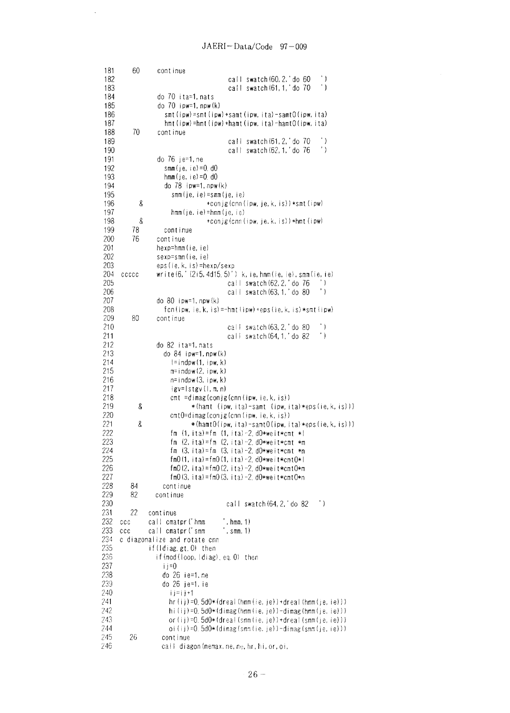$\sim$   $\sim$ 

| 181        | 60    | continue                                                                       |
|------------|-------|--------------------------------------------------------------------------------|
| 182        |       | ۰)<br>call swatch (60, 2, 'do 60                                               |
| 183        |       | $^\prime$ )<br>call swatch(61, 1,'do 70                                        |
| 184        |       | do 70 ita=1,nats                                                               |
| 185        |       | do $70$ ipw=1, npw $(k)$                                                       |
| 186        |       | smt(ipw)=smt(ipw)+samt(ipw,ita)-samt0(ipw,ita)                                 |
| 187        |       | $h$ mt(ipw)= $h$ mt(ipw)+ $h$ amt(ipw, ita)- $h$ amt $0$ (ipw, ita)            |
| 188        | 70    | continue                                                                       |
| 189        |       | $^{\prime}$ )<br>call swatch (61, 2, ' do 70                                   |
| 190        |       | $^{\prime}$ )<br>call swatch (62, 1, ' do 76                                   |
| 191        |       | do 76 je=1,ne                                                                  |
| 192        |       | smm (je, ie) =0. d0                                                            |
| 193        |       | hmm(je, ie)=0. d0                                                              |
| 194        |       | do 78 ipw=1,npw(k)                                                             |
| 195<br>196 | 8     | smm (je, ie)=smm (je, ie)                                                      |
| 197        |       | +conjg(cnn(ipw,je,k,is))*smt(ipw)<br>hmm (je, ie) = hmm (je, ie)               |
| 198        | 8     | $+$ conjg(cnn(ipw, je, k, is)) $*$ hmt(ipw)                                    |
| 199        | 78    | continue                                                                       |
| 200        | 76    | continue                                                                       |
| 201        |       | hexp=hmm(ie,ie)                                                                |
| 202        |       | sexp=smm(ie, ie)                                                               |
| 203        |       | eps(ie, k, is)=hexp/sexp                                                       |
| 204        | ccccc | $write (6, ' (2i5, 4d15, 5)') k, ie, ham(ie, ie), sam(ie, ie)$                 |
| 205        |       | call swatch (62, 2, ' do 76<br>$^{\prime}$ )                                   |
| 206        |       | call swatch (63, 1, ' do 80<br>$^{\prime}$ )                                   |
| 207        |       | do 80 ipw=1, $npw(k)$                                                          |
| 208        |       | $fcn(ipw, ie, k, is) = -hmt(ipw) +eps(ie, k, is) *smt(ipw)$                    |
| 209        | 80    | continue                                                                       |
| 210        |       | call swatch (63, 2, ' do 80<br>۰)                                              |
| 211        |       | $^{\prime}$ )<br>call swatch (64, 1, 'do 82                                    |
| 212        |       | do 82 ita=1, nats                                                              |
| 213        |       | do 84 ipw=1, npw(k)                                                            |
| 214        |       | $l = indpw(1, ipw, k)$                                                         |
| 215        |       | m=indpw(2,ipw,k)                                                               |
| 216<br>217 |       | n=indpw(3,ipw,k)                                                               |
| 218        |       | igv=Istgv(I,m,n)<br>cmt =dimag(conjg(cnn(ipw,ie,k,is))                         |
| 219        | 8     | *(hamt (ipw,ita)-samt (ipw,ita)*eps(ie,k,is)))                                 |
| 220        |       | cmt0=dimag(conjg(cnn(ipw, ie, k, is))                                          |
| 221        | g     | *(hamtO(ipw,ita)-samtO(ipw,ita)*eps(ie,k,is)))                                 |
| 222        |       | fm (1,ita)=fm (1,ita)-2.d0*weit*cmt *                                          |
| 223        |       | fm $(2, ita) = fm$ $(2, ita) -2$ d0*weit*cmt *m                                |
| 224        |       | fm (3,ita)=fm (3,ita)-2.d0*weit*cmt *n                                         |
| 225        |       | fm0(1, ita)=fm0(1, ita)-2. $d0$ *weit*cmt0*l                                   |
| 226        |       | $\text{fmO}(2, i \text{ta}) = \text{fmO}(2, i \text{ta}) - 2$ . d0*weit*cmt0*m |
| 227        |       | $fm0(3, i \nta) = fm0(3, i \nta) -2, d0*we it*cnt0*n$                          |
| 228        | 84    | continue                                                                       |
| 229        | 82    | continue                                                                       |
| 230        |       | call swatch (64, 2, do 82<br>$^{\prime}$ )                                     |
| 231        | 22    | continue                                                                       |
| 232        | ccc   | call cmatpr('hmm<br>, hmm, 1)                                                  |
| 233        | ccc   | call ematpr ('smm<br>, $s$ mm, $1)$                                            |
| 234        |       | c diagonalize and rotate cnn                                                   |
| 235        |       | if(Idiag.gt.O) then                                                            |
| 236        |       | if(mod(loop,idiag).eq.0) then                                                  |
| 237<br>238 |       | $i$ i = 0                                                                      |
| 239        |       | do 26 ie=1,ne<br>do 26 je=1, ie                                                |
| 240        |       | ij≈ij+1                                                                        |
| 241        |       | hr(ij)=0.5d0*(dreal(hmm(ie,je))+dreal(hmm(je,ie)))                             |
| 242        |       | hi(ij)=0.5d0*(dimag(hmm(ie,je))-dimag(hmm(je,ie)))                             |
| 243        |       | or $(i)$ =0. 5d0 $*($ dreal (smm(ie, je))+dreal (smm(je, ie)))                 |
| 244        |       | oi(ij)=0.5d0*(dimag(smm(ie.je))-dimag(smm(je,ie)))                             |
| 245        | 26    | continue                                                                       |
| 246        |       | call diagon(nemax.ne,ne,hr,hi,or,oi,                                           |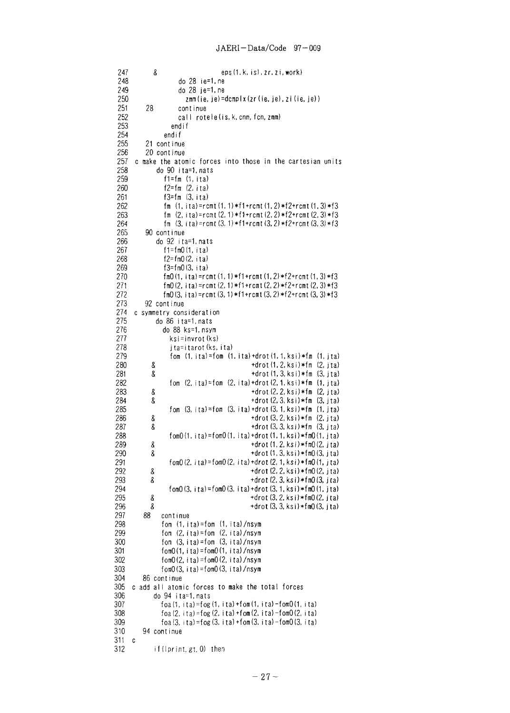```
eps (1, k, is), zr, zi. work)
 247
             \delta248
                       do 28 ie=1, ne
 249
                       do 28 je=1, ne
 250
                         zmm(ie, je) = dcmpl x (zr(ie, je), zi(ie, je))251
           28
                       continue
 252
                      call rotele (is, k, cnn, fcn, zmm)
 253
                    endif
 254
                 endif
 255
           21 continue
 256
           20 continue
 257
       c make the atomic forces into those in the cartesian units
 258
               do 90 ita=1, nats
 259
                 f1=f_m (1, ita)
 260
                 f2=f_m (2, ita)
 261
                 f3=f_m (3, ita)
 262
                  fm (1, ita) = rcmt(1, 1) * f1 + rcmt(1, 2) * f2 + rcmt(1, 3) * f3fm (2, ita) = rcmt(2, 1) * f1 + rcmt(2, 2) * f2 + rcmt(2, 3) * f3263
 264
                 fm (3, i(a) = rcmt(3, 1) * f1 + rcmt(3, 2) * f2 + rcmt(3, 3) * f390 continue
 265
 266
               do 92 ita=1, nats
 267
                 f1 = fm0(1, ita)268
                 f2 = fm0(2, ita)269
                 f3=fm0(3, ita)270
                 \text{fm0}(1, \text{ita}) = \text{rcm}(1, 1) * \text{f1} + \text{rcm}(1, 2) * \text{f2} + \text{rcm}(1, 3) * \text{f3}271
                 fm0(2, i(a)=rcmt(2, 1)*f1+rcmt(2, 2)*f2+rcmt(2, 3)*f3
                 \text{fm0}(3, \text{ ita}) = \text{rcm}(3, 1) * \text{f1} + \text{rcm}(3, 2) * \text{f2} + \text{rcm}(3, 3) * \text{f3}272
273
           92 continue
274
      c symmetry consideration
275
              do 86 ita=1, nats
276
                 do 88 ks=1, nsym
277
                   ksi=invrot(ks)
278
                    jta=itarot (ks, ita)
279
                    fom (1, ita) = fom (1, ita) + drot(1, 1, ksi) * fm (1, ita)280
                                                 +drot (1, 2, ksi)*fm (2, jta)
             \boldsymbol{\mathsf{R}}281
             8
                                                 +drot (1, 3, ksi) *fm (3, ita)
282
                   fom (2, ita) = fom (2, ita) + drot(2, 1, ksi) * fm (1, ita)+drot (2, 2, ksi)*fm (2, jta)
283
             8
284
             8
                                                 +drot (2, 3, ksi)*fm (3, jta)
285
                   fom (3, i(a) = fom (3, i(a) + drot (3, 1, k s) *fm (1, j(a))286
             8
                                                 +drot (3, 2, ksi)*fm (2, jta)287
                                                 +drot (3, 3, ksi) * fm (3, jta)8
288
                   fom0(1, i(a) = fom0(1, i(a) + drot (1, 1, ksi) * fm0(1, i(a))289
             \&+drot (1, 2, k s i) * fm(2, j ta)290
                                                 +drot (1, 3, ksi) *fm0 (3, jta)
            8
291
                   fom0 (2, ita) = fom0 (2, ita) + drot (2, 1, ksi) * fm0 (1, jta)
292
            \boldsymbol{\delta}+drot (2, 2, ksi) *fm(2, j)ta)
293
                                                 +drot (2, 3, ksi) *fm0 (3, jta)
            8
294
                   fom0 (3, ita) = fom0 (3, ita) + drot (3, 1, ksi) *fm0 (1, jta)
295
            \boldsymbol{\delta}+drot (3, 2, k s i) * fm(2, i t a)296
            8
                                                 +drot (3, 3, ksi) *fm0 (3, jta)
297
          88
                continue
298
                 fom (1, ita) = fom (1, ita)/nsym
299
                 fom (2, ita) = fom (2, ita)/nsym
300
                 fom (3. i t a) = fom (3. i t a)/nsym
301
                 fom0(1. i ta) = fom0(1. i ta) /nsym
302
                 fom0(2, ita) =fom0(2, ita)/nsym
303
                fom0(3, i t a) = fom0(3, i t a)/nsym
304
          86 continue
305
     c add all atomic forces to make the total forces
306
              do 94 ita=1, nats
307
                 foa (1, ita) =fog (1, ita) +fom (1, ita) -fom0 (1, ita)
                 foa (2, ita) = fog (2, ita) + fom (2, ita) - fom 0 (2, ita)
308
309
                foa(3, ita) = f \circ g(3, ita) + f \circ g(3, ita) - f \circ g(3, ita)310
          94 continue
311 c312
              if(lprint.gt.0) then
```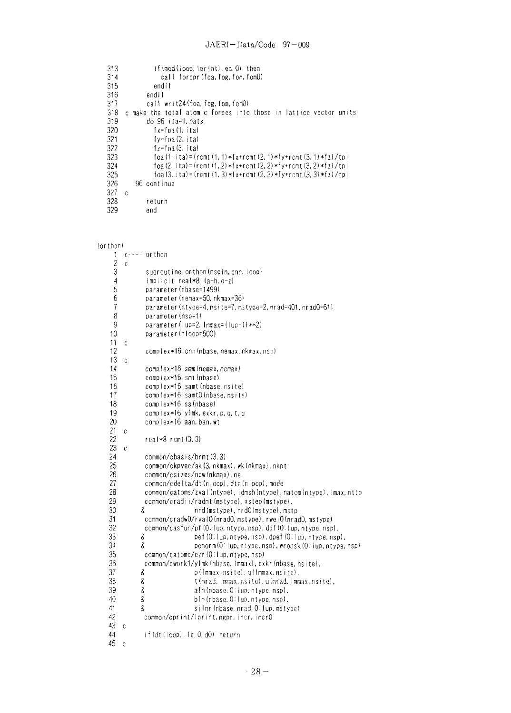| 313 | if(mod(loop.lprint).eq.0) then                                                       |
|-----|--------------------------------------------------------------------------------------|
| 314 | call forepr(foa, fog, fom, fom0)                                                     |
| 315 | endif                                                                                |
| 316 | endif                                                                                |
| 317 | call writ24(foa.fog.fom.fom0)                                                        |
| 318 | c make the total atomic forces into those in lattice vector units                    |
| 319 | do 96 ita=1.nats                                                                     |
| 320 | $f x = f$ oa (1. ita)                                                                |
| 321 | $f$ y= $f$ oa $(2, i \tau a)$                                                        |
| 322 | $f_7 = f_0 a$ (3. ita)                                                               |
| 323 | foa (1, ita)=(rcmt (1, 1)*fx+rcmt (2, 1)*fy+rcmt (3, 1)*fz)/tpi                      |
| 324 | foa (2. ita) = (rcmt (1. 2) * f x + r cmt (2. 2) * f y + r cmt (3. 2) * f z) / t p i |
| 325 | foa (3. ita) = (remt (1. 3) * f x + remt (2. 3) * f y + remt (3. 3) * f z) / tpi     |
| 326 | 96 continue                                                                          |
| 327 | C                                                                                    |
| 328 | return                                                                               |
| 329 | end                                                                                  |

```
(orthon)
```

```
1 c ---- or thon
 \frac{2}{3} c
  3 subroutine orthon(nspin, cnn, loop)<br>4 implicit real*8 (a-h, o=2)4 impl icit real*8 (a-h,o-z)
 5 parameter (nbase=1499)<br>6 parameter (nemax=50, nk
  6 parameter (nemax=50, nkmax=36)<br>7 parameter (ntvoe=4, nsite=7, ms
 7 parameter(ntype=4,nsi te=7,mstype=2,nrad=401, nradO=61)
 8 parameter (nsp=1)<br>9 parameter (lup=2,
9 parameter(Iup=2, Immax=(Iup+1)**2)<br>10 parameter(nIoop=500)
              10 parameter (nloop=500)
\frac{11}{12} c
              complex*16 cnn (nbase, nemax, nkmax, nsp)
\frac{13}{14} c
              complex*16 smm(nemax,nemax)
15 complex*16 smt(nbase)<br>16 complex*16 samt(nbase)
16 complex*16 samt (nbase, nsite)<br>17 complex*16 samt0(nbase, nsite
17 complex*16 samt0(nbase,nsite)<br>18 complex*16 ss(nbase)
              complex*16 ss (nbase)
19 complex*16 ylmk, exkr, p, q, t, u<br>20 complex*16 aan, ban, wt
              complex*16 aan, ban, wt
\frac{21}{22} c
    real*8 rcmt (3, 3)<br>c
23<br>24
              common/cbasis/brmt(3,3)
25 common/ckpvec/ak(3, nkmax), wk (nkmax), nkpt<br>26 common/csizes/npw(nkmax), ne
26 common/csizes/npw(nkmax), ne
27 common/cdelta/dt (nloop),dta (nloop),mode<br>28 common/catoms/zval(ntype),idmsh(ntype),i
28 common/catoms/zval(ntype),idmsh(ntype),natom(ntype),imax,nttp<br>29 common/cradii/radmt(mstype),xstep(mstype),
29 common/cradi i/radmt (mstype), xstep (mstype),
30 & nrd(mstype),nrdO(mstype), mstp
31 common/cradw0/rval0(nrad0, mstype), rwei0(nrad0, mstype)<br>32 common/casfun/pf(0:lup, ntype, nsp), dpf(0:lup, ntype, nsp
32 common/casfun/pf(0-lup, ntype,nsp), dpf(0:1 up,ntype,nsp),
33 8 pef (0: lup, ntype, nsp), dpef (0: lup, ntype, nsp), 34 8 9 penorm (0: lup, ntype, nsp), wronsk (0: lup, ntype,
34 & penorm(0: lup, ntype, nsp), wronsk(0: lup, ntype, nsp)
35 common/catome/ezr(0:lup,ntype, nsp)
36 common/cwork1/ylmk (nbase, immax), exkr (nbase, nsite),<br>37 8 common/cwork1/ylmkax, nsite), q(lmmax, nsite),
37 & p(lmmax.nsite), q(lmmax,nsite),
38 & t (nrad, Immax, nsite), u(nrad, Immax, nsite),<br>39 & aln (nbase, O: lup, ntype, nsp),
39 & alm(nbase, 0: lup. ntype, nsp),<br>40 & bin(nbase, 0: lup. ntype, nsp),
40 & bin(nbase, 0: lup, ntype, nsp),<br>41 & silnr(nbase, nrad, 0: lup, msty
41 & sjlnr(nbase, nrad, 0: lup, mstype)<br>42 common/corint/lorint.ngpr.incr.incr0
             common/cprint/lprint,ngpr, incr, incrO
43 c
44 if (dt (loop), le. 0. dO) return
45 c
```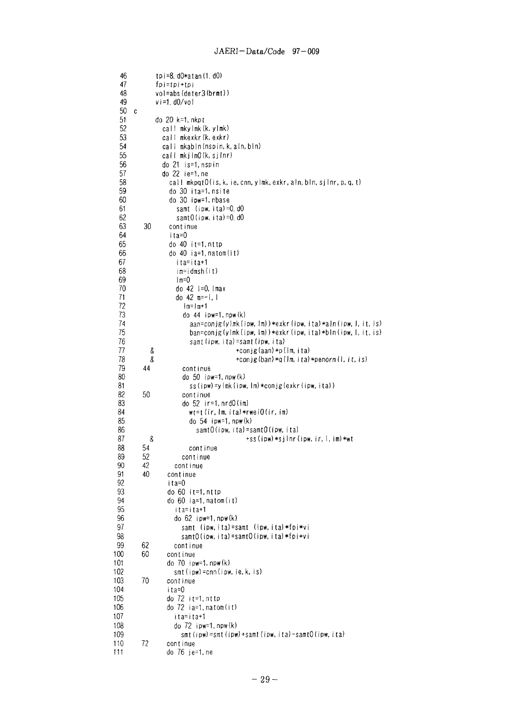| 46<br>47             |   |          | tpi=8.d0*atan(1.d0)<br>fpi=tpi+tpi                                                      |
|----------------------|---|----------|-----------------------------------------------------------------------------------------|
| 48<br>49             |   |          | vol=abs(deter3(brmt))<br>vi=1.d0/vol                                                    |
| 50<br>51<br>52<br>53 | C |          | do 20 k=1, nkpt<br>call mkylmk(k,ylmk)<br>call mkexkr(k.exkr)                           |
| 54<br>55             |   |          | call mkabin (nspin, k, aln, bin)<br>call mkjInO(k,sjInr)                                |
| 56                   |   |          | do 21 is=1.nspin                                                                        |
| 57<br>58             |   |          | do 22 ie=1, ne<br>call mkpqtO(is, k, ie, cnn, ylmk, exkr, aln, bln, sjlnr, p, q, t)     |
| 59                   |   |          | do 30 ita=1.nsite                                                                       |
| 60<br>61             |   |          | do 30 ipw=1, nbase<br>samt (ipw, ita)=0.d0                                              |
| 62                   |   |          | samt $0$ (ipw, ita)= $0$ .d $0$                                                         |
| 63                   |   | 30       | cont inue                                                                               |
| 64<br>65             |   |          | ita=0<br>do $40$ it=1, nttp                                                             |
| 66                   |   |          | do 40 ia=1, natom(it)                                                                   |
| 67                   |   |          | ita=ita+1                                                                               |
| 68<br>69             |   |          | im=idmsh(it)<br>$Im=0$                                                                  |
| 70                   |   |          | do 42 l=0,lmax                                                                          |
| 71                   |   |          | do $42$ m=-1, 1                                                                         |
| 72<br>73             |   |          | $ m=1m+1$                                                                               |
| 74                   |   |          | do $44$ ipw=1, npw $(k)$<br>$aan=conjg(ylmk(ipw,lm))*exkr(ipw,ita)*aln(ipw, l, it, is)$ |
| 75                   |   |          | ban=conjg(ylmk(ipw,lm))*exkr(ipw,ita)*bln(ipw,l,it,is)                                  |
| 76                   |   |          | samt (ipw, ita)=samt (ipw, ita)                                                         |
| 77<br>78             |   | 8<br>8   | +conjg(aan)*p(lm, ita)<br>+conjg $(ban)*q(Im, ita)*penorm(1, it, is)$                   |
| 79                   |   | 44       | continue                                                                                |
| 80                   |   |          | do 50 ipw=1, npw(k)                                                                     |
| 81<br>82             |   | 50       | ss(ipw)=ylmk(ipw,lm)*conjg(exkr(ipw,ita))<br>continue                                   |
| 83                   |   |          | do 52 ir=1,nrd0(im)                                                                     |
| 84                   |   |          | $wt=t$ (ir, $lm$ , ita)*rwei $0$ (ir, im)                                               |
| 85<br>86             |   |          | do $54$ ipw=1, npw $(k)$<br>samtO(ipw, ita)=samtO(ipw, ita)                             |
| 87                   |   | 8        | +ss(ipw)*sjlnr(ipw, ir, l, im)*wt                                                       |
| 88                   |   | 54       | continue                                                                                |
| 89                   |   | 52       | continue                                                                                |
| 90<br>91             |   | 42<br>40 | continue<br>continue                                                                    |
| 92                   |   |          | ita=0                                                                                   |
| 93                   |   |          | do 60 it=1,nttp                                                                         |
| 94<br>95             |   |          | do 60 ia=1, natom(it)<br>ita=ita+1                                                      |
| 96                   |   |          | do 62 ipw=1, npw(k)                                                                     |
| 97                   |   |          | samt (ipw.ita)=samt (ipw.ita)*fpi*vi                                                    |
| 98<br>99             |   | 62       | samtO(ipw, ita)=samtO(ipw, ita)*fpi*vi<br>continue                                      |
| 100                  |   | 60       | cont inue                                                                               |
| 101                  |   |          | do $70$ ipw=1, npw $(k)$                                                                |
| 102                  |   |          | smt(ipw)=cnn(ipw,ie,k,is)                                                               |
| 103<br>104           |   | 70       | continue<br>ita=0                                                                       |
| 105                  |   |          | do 72 it=1,nttp                                                                         |
| 106                  |   |          | do 72 ia=1,natom(it)                                                                    |
| 107<br>108           |   |          | ita=ita+1<br>do 72 ipw=1, npw(k)                                                        |
| 109                  |   |          | smt(ipw)=smt(ipw)+samt(ipw,ita)-samt0(ipw,ita)                                          |
| 110                  |   | 72       | continue                                                                                |
| 111                  |   |          | do 76 je=1, ne                                                                          |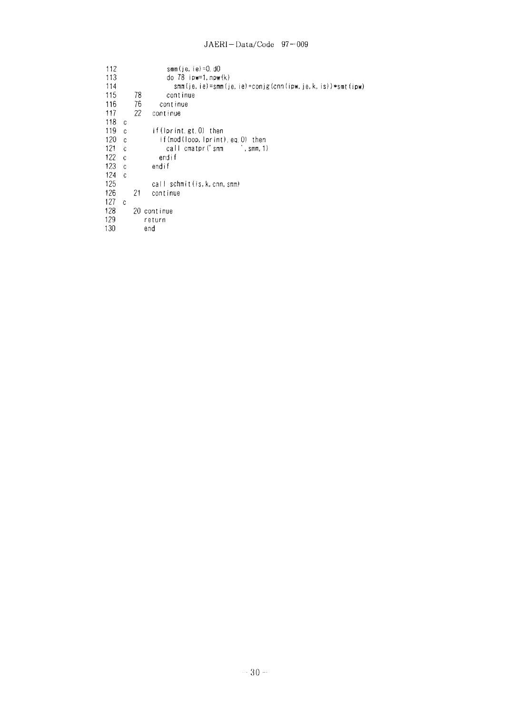## JAERI-Data/Code 97-009

| 112 |              | smim (ie, ie) = 0, d0                                       |
|-----|--------------|-------------------------------------------------------------|
| 113 |              | do $78$ ipw=1, $npw(k)$                                     |
| 114 |              | smm(je, ie)=smm(je, ie)+conjg(cnn(ipw, je, k, is))*smt(ipw) |
| 115 |              | 78<br>continue                                              |
| 116 |              | 76<br>continue                                              |
| 117 |              | 22<br>continue                                              |
| 118 | C            |                                                             |
| 119 | C            | if $(lprint, gt, 0)$ then                                   |
| 120 | C            | if(mod(loop,lprint).eq.0) then                              |
| 121 | $\mathbf c$  | call cmatpr ('smm<br>∴ smm, 1)                              |
| 122 | $\mathbf{C}$ | endif                                                       |
| 123 | C.           | endif                                                       |
| 124 | $\mathbf c$  |                                                             |
| 125 |              | call schmit (is. k. cnn. smm)                               |
| 126 |              | 21<br>continue                                              |
| 127 | C            |                                                             |
| 128 |              | 20 continue                                                 |
| 129 |              | return                                                      |
| 130 |              | end                                                         |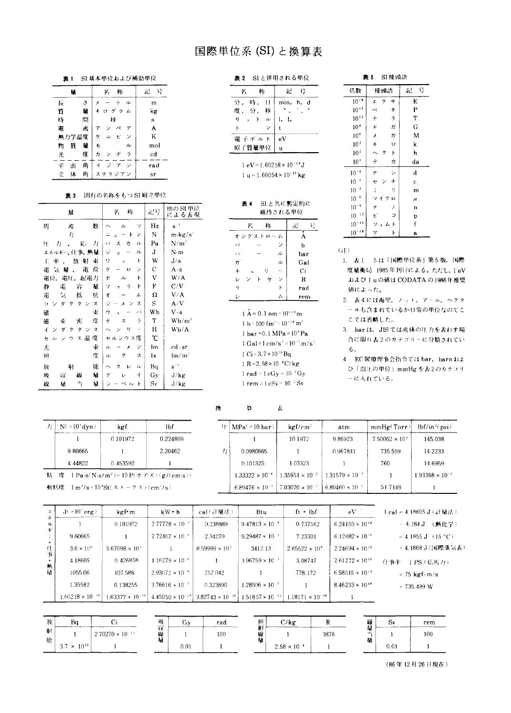# 国際単位系 (SI) と換算表

表 1 SI 基本単位および補助単位

| 鰿         |     | 你<br>名                       | 냨<br>åΰ |
|-----------|-----|------------------------------|---------|
| Ŀ         | ð   | к<br>ル                       | m       |
| 啠         | 量   | グラム                          | kg      |
| 時         | 間   | Þŀ                           | s       |
| 電         | 斻   |                              | A       |
| 熱力学温度     |     | ビ<br>ヶ<br>ン<br>ル             | K       |
| 物<br>質    | 量   | £<br>ル                       | mol     |
| 光         | 度   | ラ<br>ヵ<br>テ<br>ン             | cd      |
| Ψ.<br>thi | 角   | 42<br>÷<br>$\checkmark$<br>7 | rad     |
| 体<br>Ϋ́.  | fi, | テラジアン                        | sr      |

## 表3 固有の名称をもつ SI 組立単位

| 量                                                            | 栋<br>Ŷ,                            | 記号 | 他のSI単位<br>による表現                                         |
|--------------------------------------------------------------|------------------------------------|----|---------------------------------------------------------|
| 周<br>数<br>废                                                  | ッ<br>ル                             | Hz | $s^{-1}$                                                |
| 力                                                            | ン<br>$\mathsf{F}$                  | N  | $\mathbf{m} \cdot \mathbf{k} \mathbf{g} / \mathbf{s}^2$ |
| 応<br>Æ.<br>力<br>力                                            | バ<br>カ<br>ル<br>ス                   | Pa | $N/m^2$                                                 |
| エネルギー,仕事,熱量                                                  | ジ<br>ル<br>$\overline{a}$           | J  | N-m                                                     |
| 東<br>放<br>射<br>Ε.<br>楽                                       | ĥ<br>7<br>÷,                       | W  | J/s                                                     |
| 電<br>荷<br>電気<br>量                                            | ン<br>ク<br>$\Box$                   | С  | A s                                                     |
| 電圧,<br>起花力<br>電位,                                            | ボ<br>ŀ<br>ル                        | V  | W/A                                                     |
| 静<br>電<br>容<br>量                                             | K<br>ラ<br>フ                        | F  | C/V                                                     |
| 抗<br>電<br>抵<br>気                                             | オ<br>厶                             | Ω  | V/A                                                     |
| <b>X</b><br>ダ<br>タ<br>Þ<br>ク                                 | ジ<br>ス<br>×<br>ン                   | S  | A/V                                                     |
| 束<br>硷                                                       | バ<br>ゥ<br>x                        | Wb | $V \cdot s$                                             |
| 度<br>磁<br>束<br>審                                             | ラ<br>$\tilde{\tau}$<br>ス           | T  | Wb/m <sup>2</sup>                                       |
| $\overline{\mathcal{L}}$<br>ダ<br>ス<br>7<br>$\checkmark$<br>ク | IJ<br>$\overline{\phantom{0}}$     | Н  | Wb/A                                                    |
| 度<br>温<br>ス<br>ウ<br>セ<br>ル                                   | セルシウス度                             | °C |                                                         |
| 東<br>光                                                       | $\overline{\phantom{a}}$<br>ル<br>× | lm | $cd\cdot sr$                                            |
| 度<br>照                                                       | ス<br>ク<br>ル                        | lχ | $\mathsf{Im}/\mathsf{m}^2$                              |
| 能<br>射<br>放                                                  | ル<br>ク<br>$\scriptstyle\sim$       | Bq | $\mathbf{s}^{-1}$                                       |
| 量<br>線<br>吸<br>収                                             | ゲ<br>1<br>v                        | Gy | J/kg                                                    |
| Ч,<br>靛<br>線<br>帻                                            | ベル<br>$\mathbf{F}$<br>シ            | Sv | J/kg                                                    |

| - SIと併用される単位<br>表 2 |  |  |  |
|---------------------|--|--|--|
|---------------------|--|--|--|

| 你<br>名     | 記<br>硻       |
|------------|--------------|
| 時, 日<br>分. | min, h,<br>₫ |
| 度,分,秒      |              |
| ットル<br>I)  | - L          |
|            | t.           |
| 電 子ボルト     | eV           |
| 原子質量単位     | u            |

 $1 \text{ eV} = 1.60218 \times 10^{-19} \text{ J}$ 1 u =  $1.66054 \times 10^{-27}$  kg

| 表 4 | SIと共に暫定的に |
|-----|-----------|
|     | 維持される単位   |
|     |           |

|   | η            | 你        |    | åΕ             | Ŧ,  |
|---|--------------|----------|----|----------------|-----|
|   |              | オングストローム |    | $\bullet$<br>А |     |
| バ |              |          |    | b              |     |
| バ |              |          | ル  | bar            |     |
| ガ |              |          | ル  | Gal            |     |
| # | $\mathbf{a}$ | I)       |    | Ci             |     |
| D | ン            | ゲ<br>۲   |    | R              |     |
| ラ |              |          | К  | rad            |     |
| Þ |              |          | Ŀ. |                | rem |

 $1 \text{ Å} = 0.1 \text{ nm} = 10^{-10} \text{ m}$ 1 b = 100 fm<sup>2</sup> = 10<sup>-28</sup> m<sup>2</sup> 1 bar = 0.1 MPa =  $10^5$  Pa 1 Gal=1 cm/s<sup>2</sup> =  $10^{-2}$  m/s<sup>2</sup>  $1 \text{ Ci} = 3.7 \times 10^{10} \text{Bg}$  $1 R = 2.58 \times 10^{-4} C/kg$ 1 rad = 1 cGy =  $10^{-2}$  Gy 1 rem =  $1 \text{ cSv} = 10^{-2} \text{ Sv}$ 

### 表5 SI接頭語

| 倍数              | 接頭語                              | 8<br>រំប       |
|-----------------|----------------------------------|----------------|
| $10^{18}$       | ク<br>++<br>I.                    | E              |
| $10^{15}$       | タ<br>ぺ                           | P              |
| $10^{+2}$       | $\overline{2}$<br>$\tilde{\tau}$ | Τ              |
| 10 <sup>9</sup> | $^\ast$<br>ガ                     | G              |
| 10 <sup>6</sup> | x<br>ガ                           | М              |
| 10 <sup>3</sup> | $\ddagger$<br>$\Box$             | k              |
| 10 <sup>2</sup> | ŀ<br>$\hat{\phantom{0}}$<br>7    | h              |
| 10 <sup>1</sup> | $\tilde{\mathcal{T}}$<br>カ       | da             |
| $10^{-1}$       | デ<br>ż                           | d              |
| $10^{-2}$       | ŧ<br>千                           | $\ddot{\rm c}$ |
| $10^{-3}$       | $\ddot{\xi}$<br>I)               | m              |
| $\cdot$ 6<br>10 | Ω<br>マイク                         | $\mu$          |
| $10^{-9}$       | ナ                                | n              |
| $10^{-12}$      | Ę<br>Þ                           | p              |
| $10^{-15}$      | フェム<br>$\mathsf{F}$              | f              |
| 18<br>$10^{-}$  | 7<br>ŀ                           | a              |

 $(iE)$ 

- 1. 表 1 5は「国際単位系」第5版, 国際 度量衡局 1985年刊行による。ただし、1 eV および1uの値は CODATAの1986年推奨 値によった。
- 2. 表4には海里、ノット、アール、ヘクタ ールも含まれているが日常の単位なのでこ こでは省略した。
- 3. barは、JISでは流体の圧力を表わす場 合に限り表2のカテゴリーに分類されてい  $5^{\circ}$
- 4. EC閣僚理事会指令では bar, barn およ び「血圧の単位」mmHg を表2のカテゴリ ーに入れている。

| 力 | $N( = 10s dyn)$ | kgf      | lbf      |
|---|-----------------|----------|----------|
|   |                 | 0.101972 | 0.224809 |
|   | 9 80665         |          | 2.20462  |
|   | 4.44822         | 0.453592 |          |

| 欙 | Ħ.                       | ĸ                        |                          |                         |                          |
|---|--------------------------|--------------------------|--------------------------|-------------------------|--------------------------|
|   | $H$ : $MPa (= 10 bar)$   | kgf/cm <sup>2</sup>      | atm                      | mmHg(Torr)              | $lbf/in^2(psi)$          |
|   |                          | 10.1972                  | 9.86923                  | $7.50062 \times 10^{3}$ | 145.038                  |
| 力 | 0.0980665                |                          | 0.967841                 | 735.559                 | 14.2233                  |
|   | 0.101325                 | 1.03323                  |                          | 760                     | 14.6959                  |
|   | $1.33322 \times 10^{-4}$ | $1.35951 \times 10^{-3}$ | $1.31579 \times 10^{-3}$ |                         | $1.93368 \times 10^{-2}$ |
|   | $6.89476 \times 10^{-3}$ | $7.03070 \times 10^{-2}$ | $6.80460 \times 10^{-7}$ | 51.7149                 |                          |

| $\mathbf{r}$ | $J( = 10^{7} \text{ erg})$ | kgf•m                     | $kW \cdot h$              | cal(計量法)。                 | Btu                              | $ft \cdot hf$             | eV                       | $1$ cal = 4.18605 $J$ (計量法)         |
|--------------|----------------------------|---------------------------|---------------------------|---------------------------|----------------------------------|---------------------------|--------------------------|-------------------------------------|
| ル<br>¥.      |                            | 0.101972                  | $2.77778 \times 10^{-7}$  | 0.238889                  | $9.47813 \times 10^{-4}$         | 0.737562                  | $6.24150 \times 10^{18}$ | (熱化学)<br>$-4.184$ J                 |
|              | 9.80665                    |                           | $2.72407 \times 10^{-6}$  | 2.34270                   | 9.29487 $\times$ 10 <sup>3</sup> | 7.23301                   | $6.12082 \times 10^{19}$ | $= 4.1855 \text{ J}$ (15 °C)        |
| 仕            | $3.6 \times 10^{6}$        | $3.67098 \times 10^{3}$   |                           | $8.59999 \times 10^{3}$   | 3412.13                          | $2.65522 \times 10^6$     | $2.24694 \times 10^{25}$ | = 4.1868 J (国際蒸気表)                  |
| Ŵ            | 4.18605                    | 0.426858                  | $1.16279 \times 10^{-6}$  |                           | $3.96759 \times 10^{-3}$         | 3.08747                   | $2.61272 \times 10^{19}$ | 化事率<br>1 PS(仏馬力)                    |
| 熱量           | 1055.06                    | 107.586                   | $2.93072 \times 10^{-4}$  | 252.042                   |                                  | 778.172                   | $6.58515 \times 10^{21}$ | $= 75 \text{ kgf} \cdot \text{m/s}$ |
|              | 1.35582                    | 0.138255                  | $3.76616 \times 10^{-7}$  | 0.323890                  | $1.28506 \times 10^{-3}$         |                           | $8.46233 \times 10^{18}$ | $= 735.499 W$                       |
|              | $1.60218 \times 10^{-19}$  | $1.63377 \times 10^{-26}$ | $4.45050 \times 10^{-26}$ | $3.82743 \times 10^{-20}$ | $ 1.51857 \times 10^{-22} $      | $1.18171 \times 10^{-19}$ |                          |                                     |

| 放 | Ba                   |                           | 吸<br>.   | Gν   | rad | 閼       | C/kg                  |      | 線        | $\sim$<br>۵v | rem |
|---|----------------------|---------------------------|----------|------|-----|---------|-----------------------|------|----------|--------------|-----|
| 射 |                      | $2.70270 \times 10^{-11}$ | 14.<br>缐 |      | 100 | 射性<br>線 |                       | 3876 | 星<br>AR. |              | 100 |
| 能 | $3.7 \times 10^{10}$ |                           | п.       | 0.01 |     | И       | $2.58 \times 10^{-4}$ |      | 積        | $_{0.0}$     |     |